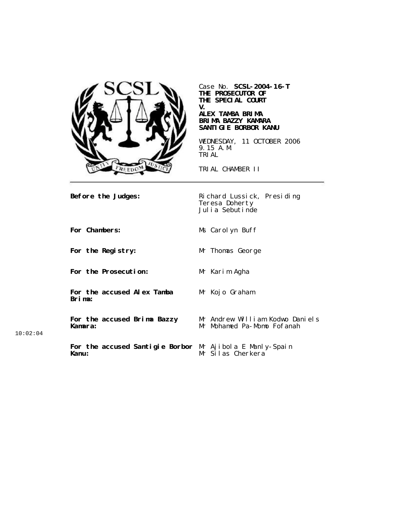

Case No. **SCSL-2004-16-T THE PROSECUTOR OF THE SPECIAL COURT V.**

### **ALEX TAMBA BRIMA BRIMA BAZZY KAMARA SANTIGIE BORBOR KANU**

WEDNESDAY, 11 OCTOBER 2006 9.15 A.M. TRIAL

TRIAL CHAMBER II

**Before the Judges:** Richard Lussick, Presiding Teresa Doherty Julia Sebutinde **For Chambers:** Ms Carolyn Buff **For the Registry:** Mr Thomas George **For the Prosecution:** Mr Karim Agha **For the accused Alex Tamba Brima:** Mr Kojo Graham **For the accused Brima Bazzy Kamara:** Mr Andrew William Kodwo Daniels Mr Mohamed Pa-Momo Fofanah **For the accused Santigie Borbor Kanu:** Mr Ajibola E Manly-Spain Mr Silas Cherkera

10:02:04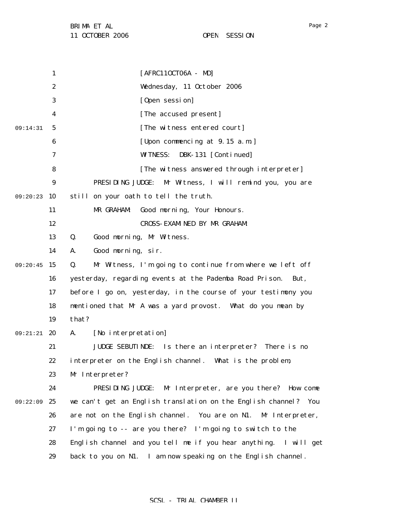1 2 3 4 5 6 7 8 9 09:20:23 10 11 12 13 14 09:20:45 15 16 17 18 19 09:21:21 20 21 22 23 24 09:22:09 25 26 27 28 29 09:14:31 [AFRC11OCT06A - MD] Wednesday, 11 October 2006 [Open session] [The accused present] [The witness entered court] [Upon commencing at 9.15 a.m.] WITNESS: DBK-131 [Continued] [The witness answered through interpreter] PRESIDING JUDGE: Mr Witness, I will remind you, you are still on your oath to tell the truth. MR GRAHAM: Good morning, Your Honours. CROSS-EXAMINED BY MR GRAHAM: Q. Good morning, Mr Witness. A. Good morning, sir. Q. Mr Witness, I'm going to continue from where we left off yesterday, regarding events at the Pademba Road Prison. But, before I go on, yesterday, in the course of your testimony you mentioned that Mr A was a yard provost. What do you mean by that? A. [No interpretation] JUDGE SEBUTINDE: Is there an interpreter? There is no interpreter on the English channel. What is the problem, Mr Interpreter? PRESIDING JUDGE: Mr Interpreter, are you there? How come we can't get an English translation on the English channel? You are not on the English channel. You are on N1. Mr Interpreter, I'm going to -- are you there? I'm going to switch to the English channel and you tell me if you hear anything. I will get back to you on N1. I am now speaking on the English channel.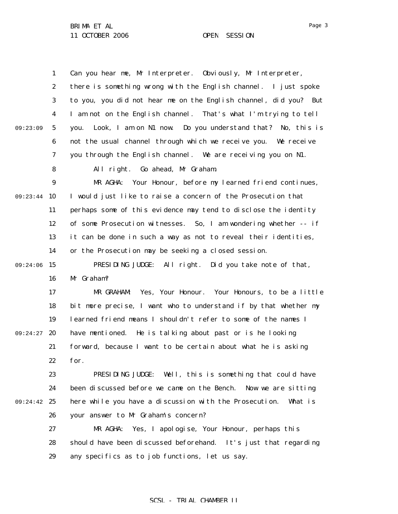|          | $\mathbf{1}$     | Can you hear me, Mr Interpreter. Obviously, Mr Interpreter,       |
|----------|------------------|-------------------------------------------------------------------|
|          | $\boldsymbol{2}$ | there is something wrong with the English channel. I just spoke   |
|          | 3                | to you, you did not hear me on the English channel, did you? But  |
|          | 4                | I am not on the English channel. That's what I'm trying to tell   |
| 09:23:09 | $\sqrt{5}$       | Look, I am on N1 now. Do you understand that? No, this is<br>vou. |
|          | 6                | not the usual channel through which we receive you. We receive    |
|          | 7                | you through the English channel. We are receiving you on N1.      |
|          | 8                | All right. Go ahead, Mr Graham.                                   |
|          | $\boldsymbol{9}$ | MR AGHA: Your Honour, before my learned friend continues,         |
| 09:23:44 | 10               | I would just like to raise a concern of the Prosecution that      |
|          | 11               | perhaps some of this evidence may tend to disclose the identity   |
|          | 12               | of some Prosecution witnesses. So, I am wondering whether -- if   |
|          | 13               | it can be done in such a way as not to reveal their identities,   |
|          | 14               | or the Prosecution may be seeking a closed session.               |
| 09:24:06 | 15               | PRESIDING JUDGE: All right. Did you take note of that,            |
|          | 16               | Mr Graham?                                                        |
|          | 17               | MR GRAHAM:<br>Yes, Your Honour. Your Honours, to be a little      |
|          | 18               | bit more precise, I want who to understand if by that whether my  |
|          | 19               | learned friend means I shouldn't refer to some of the names I     |
| 09:24:27 | 20               | have mentioned. He is talking about past or is he looking         |
|          | 21               | forward, because I want to be certain about what he is asking     |
|          | 22               | for.                                                              |
|          | 23               | PRESIDING JUDGE: Well, this is something that could have          |
|          | 24               | been discussed before we came on the Bench. Now we are sitting    |
| 09:24:42 | 25               | here while you have a discussion with the Prosecution.<br>What is |
|          | 26               | your answer to Mr Graham's concern?                               |
|          | 27               | Yes, I apologise, Your Honour, perhaps this<br>MR AGHA:           |
|          | 28               | should have been discussed beforehand. It's just that regarding   |
|          | 29               | any specifics as to job functions, let us say.                    |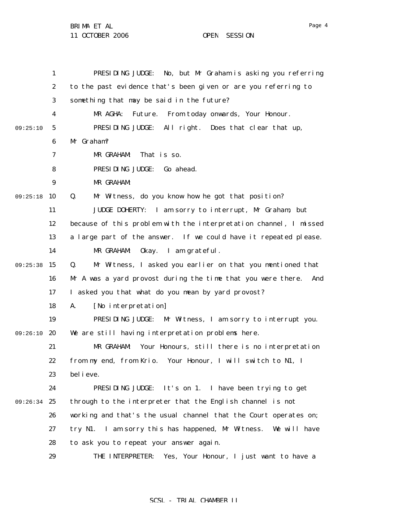11 OCTOBER 2006 OPEN SESSION

1 2 3 4 5 6 7 8 9 09:25:18 10 11 12 13 14 09:25:38 15 16 17 18 19 09:26:10 20 21 22 23 24 09:26:34 25 26 27 28 29 09:25:10 PRESIDING JUDGE: No, but Mr Graham is asking you referring to the past evidence that's been given or are you referring to something that may be said in the future? MR AGHA: Future. From today onwards, Your Honour. PRESIDING JUDGE: All right. Does that clear that up, Mr Graham? MR GRAHAM: That is so. PRESIDING JUDGE: Go ahead. MR GRAHAM: Q. Mr Witness, do you know how he got that position? JUDGE DOHERTY: I am sorry to interrupt, Mr Graham, but because of this problem with the interpretation channel, I missed a large part of the answer. If we could have it repeated please. MR GRAHAM: Okay. I am grateful. Q. Mr Witness, I asked you earlier on that you mentioned that Mr A was a yard provost during the time that you were there. And I asked you that what do you mean by yard provost? A. [No interpretation] PRESIDING JUDGE: Mr Witness, I am sorry to interrupt you. We are still having interpretation problems here. MR GRAHAM: Your Honours, still there is no interpretation from my end, from Krio. Your Honour, I will switch to N1, I believe. PRESIDING JUDGE: It's on 1. I have been trying to get through to the interpreter that the English channel is not working and that's the usual channel that the Court operates on; try N1. I am sorry this has happened, Mr Witness. We will have to ask you to repeat your answer again. THE INTERPRETER: Yes, Your Honour, I just want to have a

### SCSL - TRIAL CHAMBER II

Page 4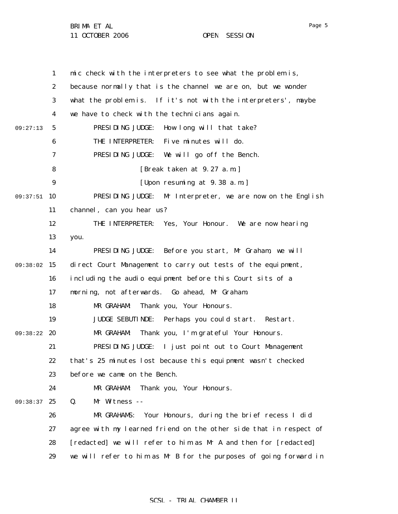11 OCTOBER 2006 OPEN SESSION

1 2 3 4 5 6 7 8 9 09:37:51 10 11 12 13 14 09:38:02 15 16 17 18 19 09:38:22 20 21 22 23 24 09:38:37 25 26 27 28 29 09:27:13 mic check with the interpreters to see what the problem is, because normally that is the channel we are on, but we wonder what the problem is. If it's not with the interpreters', maybe we have to check with the technicians again. PRESIDING JUDGE: How long will that take? THE INTERPRETER: Five minutes will do. PRESIDING JUDGE: We will go off the Bench. [Break taken at 9.27 a.m.] [Upon resuming at 9.38 a.m.] PRESIDING JUDGE: Mr Interpreter, we are now on the English channel, can you hear us? THE INTERPRETER: Yes, Your Honour. We are now hearing you. PRESIDING JUDGE: Before you start, Mr Graham, we will direct Court Management to carry out tests of the equipment, including the audio equipment before this Court sits of a morning, not afterwards. Go ahead, Mr Graham. MR GRAHAM: Thank you, Your Honours. JUDGE SEBUTINDE: Perhaps you could start. Restart. MR GRAHAM: Thank you, I'm grateful Your Honours. PRESIDING JUDGE: I just point out to Court Management that's 25 minutes lost because this equipment wasn't checked before we came on the Bench. MR GRAHAM: Thank you, Your Honours. Q. Mr Witness -- MR GRAHAMS: Your Honours, during the brief recess I did agree with my learned friend on the other side that in respect of [redacted] we will refer to him as Mr A and then for [redacted] we will refer to him as Mr B for the purposes of going forward in

Page 5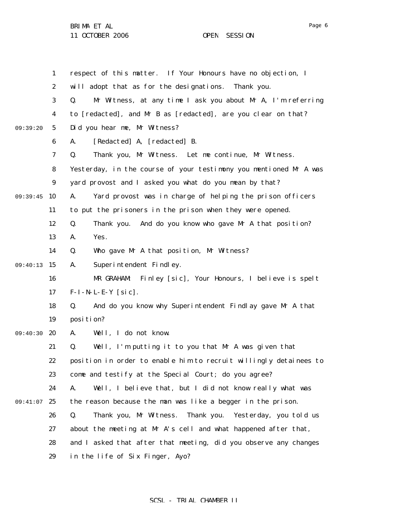11 OCTOBER 2006 OPEN SESSION

|          | $\mathbf{1}$     | respect of this matter. If Your Honours have no objection, I      |
|----------|------------------|-------------------------------------------------------------------|
|          | $\boldsymbol{2}$ | will adopt that as for the designations.<br>Thank you.            |
|          | 3                | Mr Witness, at any time I ask you about Mr A, I'm referring<br>Q. |
|          | 4                | to [redacted], and Mr B as [redacted], are you clear on that?     |
| 09:39:20 | $\mathbf{5}$     | Did you hear me, Mr Witness?                                      |
|          | 6                | [Redacted] A, [redacted] B.<br>A.                                 |
|          | 7                | Thank you, Mr Witness. Let me continue, Mr Witness.<br>Q.         |
|          | 8                | Yesterday, in the course of your testimony you mentioned Mr A was |
|          | $\boldsymbol{9}$ | yard provost and I asked you what do you mean by that?            |
| 09:39:45 | 10               | Yard provost was in charge of helping the prison officers<br>A.   |
|          | 11               | to put the prisoners in the prison when they were opened.         |
|          | 12               | Q.<br>Thank you. And do you know who gave Mr A that position?     |
|          | 13               | Yes.<br>A.                                                        |
|          | 14               | Who gave Mr A that position, Mr Witness?<br>Q.                    |
| 09:40:13 | 15               | Superintendent Findley.<br>A.                                     |
|          | 16               | MR GRAHAM:<br>Finley [sic], Your Honours, I believe is spelt      |
|          | 17               | $F-I-N-L-E-Y$ [sic].                                              |
|          | 18               | And do you know why Superintendent Findlay gave Mr A that<br>Q.   |
|          | 19               | position?                                                         |
| 09:40:30 | 20               | Well, I do not know.<br>A.                                        |
|          | 21               | Q.<br>Well, I'm putting it to you that Mr A was given that        |
|          | 22               | position in order to enable him to recruit willingly detainees to |
|          | 23               | come and testify at the Special Court; do you agree?              |
|          | 24               | Well, I believe that, but I did not know really what was<br>A.    |
| 09:41:07 | 25               | the reason because the man was like a begger in the prison.       |
|          | 26               | Q.<br>Thank you, Mr Witness. Thank you.<br>Yesterday, you told us |
|          | 27               | about the meeting at Mr A's cell and what happened after that,    |
|          | 28               | and I asked that after that meeting, did you observe any changes  |
|          | 29               | in the life of Six Finger, Ayo?                                   |

# SCSL - TRIAL CHAMBER II

Page 6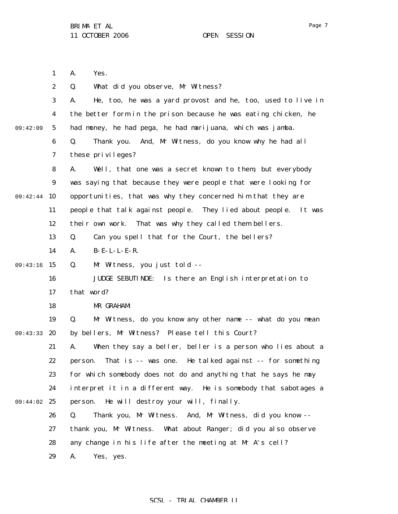1 A. Yes.

|          | $\boldsymbol{2}$ | What did you observe, Mr Witness?<br>Q.                            |
|----------|------------------|--------------------------------------------------------------------|
|          | 3                | He, too, he was a yard provost and he, too, used to live in<br>A.  |
|          | $\boldsymbol{4}$ | the better form in the prison because he was eating chicken, he    |
| 09:42:09 | $5\phantom{.0}$  | had money, he had pega, he had marijuana, which was jamba.         |
|          | $\boldsymbol{6}$ | And, Mr Witness, do you know why he had all<br>Q.<br>Thank you.    |
|          | 7                | these privileges?                                                  |
|          | 8                | A.<br>Well, that one was a secret known to them, but everybody     |
|          | $\boldsymbol{9}$ | was saying that because they were people that were looking for     |
| 09:42:44 | 10               | opportunities, that was why they concerned him that they are       |
|          | 11               | people that talk against people. They lied about people.<br>It was |
|          | 12               | That was why they called them bellers.<br>their own work.          |
|          | 13               | Q.<br>Can you spell that for the Court, the bellers?               |
|          | 14               | B-E-L-L-E-R.<br>A.                                                 |
| 09:43:16 | 15               | Mr Witness, you just told --<br>Q.                                 |
|          | 16               | JUDGE SEBUTINDE: Is there an English interpretation to             |
|          | 17               | that word?                                                         |
|          | 18               | MR GRAHAM:                                                         |
|          | 19               | Mr Witness, do you know any other name -- what do you mean<br>Q.   |
| 09:43:33 | 20               | by bellers, Mr Witness? Please tell this Court?                    |
|          | 21               | When they say a beller, beller is a person who lies about a<br>A.  |
|          | 22               | That is -- was one. He talked against -- for something<br>person.  |
|          | 23               | for which somebody does not do and anything that he says he may    |
|          | 24               | interpret it in a different way. He is somebody that sabotages a   |
| 09:44:02 | 25               | He will destroy your will, finally.<br>person.                     |
|          | 26               | Q.<br>And, Mr Witness, did you know --<br>Thank you, Mr Witness.   |
|          | 27               | What about Ranger; did you also observe<br>thank you, Mr Witness.  |
|          | 28               | any change in his life after the meeting at Mr A's cell?           |
|          | 29               | A.<br>Yes, yes.                                                    |
|          |                  |                                                                    |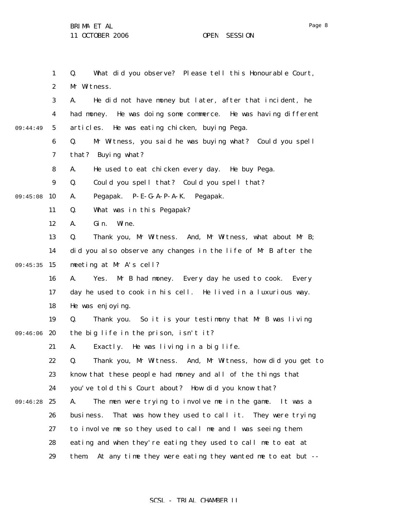1 2 3 4 5 6 7 8 9 09:45:08 10 11 12 13 14 09:45:35 15 16 17 18 19 09:46:06 20 21 22 23 24 09:46:28 25 26 27 28 29 09:44:49 Q. What did you observe? Please tell this Honourable Court, Mr Witness. A. He did not have money but later, after that incident, he had money. He was doing some commerce. He was having different articles. He was eating chicken, buying Pega. Q. Mr Witness, you said he was buying what? Could you spell that? Buying what? A. He used to eat chicken every day. He buy Pega. Q. Could you spell that? Could you spell that? A. Pegapak. P-E-G-A-P-A-K. Pegapak. Q. What was in this Pegapak? A. Gin. Wine. Q. Thank you, Mr Witness. And, Mr Witness, what about Mr B; did you also observe any changes in the life of Mr B after the meeting at Mr A's cell? A. Yes. Mr B had money. Every day he used to cook. Every day he used to cook in his cell. He lived in a luxurious way. He was enjoying. Q. Thank you. So it is your testimony that Mr B was living the big life in the prison, isn't it? A. Exactly. He was living in a big life. Q. Thank you, Mr Witness. And, Mr Witness, how did you get to know that these people had money and all of the things that you've told this Court about? How did you know that? A. The men were trying to involve me in the game. It was a business. That was how they used to call it. They were trying to involve me so they used to call me and I was seeing them eating and when they're eating they used to call me to eat at them. At any time they were eating they wanted me to eat but --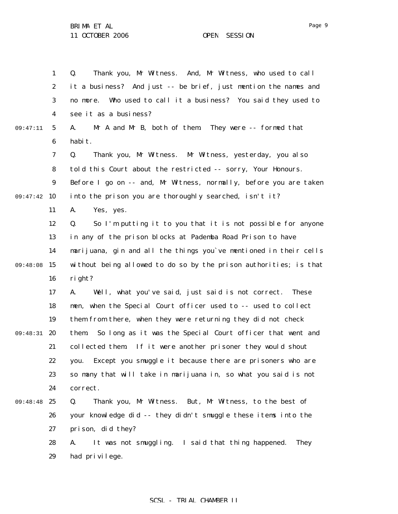1 2 3 4 5 6 7 8 9 09:47:42 10 11 12 13 14 09:48:08 15 16 17 18 19 09:48:31 20 21 22 23 24 09:48:48 25 26 27 28 29 09:47:11 Q. Thank you, Mr Witness. And, Mr Witness, who used to call it a business? And just -- be brief, just mention the names and no more. Who used to call it a business? You said they used to see it as a business? A. Mr A and Mr B, both of them. They were -- formed that habit. Q. Thank you, Mr Witness. Mr Witness, yesterday, you also told this Court about the restricted -- sorry, Your Honours. Before I go on  $-$ - and, Mr Witness, normally, before you are taken into the prison you are thoroughly searched, isn't it? A. Yes, yes. Q. So I'm putting it to you that it is not possible for anyone in any of the prison blocks at Pademba Road Prison to have marijuana, gin and all the things you`ve mentioned in their cells without being allowed to do so by the prison authorities; is that right? A. Well, what you've said, just said is not correct. These men, when the Special Court officer used to -- used to collect them from there, when they were returning they did not check them. So long as it was the Special Court officer that went and collected them. If it were another prisoner they would shout you. Except you smuggle it because there are prisoners who are so many that will take in marijuana in, so what you said is not correct. Q. Thank you, Mr Witness. But, Mr Witness, to the best of your knowledge did -- they didn't smuggle these items into the prison, did they? A. It was not smuggling. I said that thing happened. They had privilege.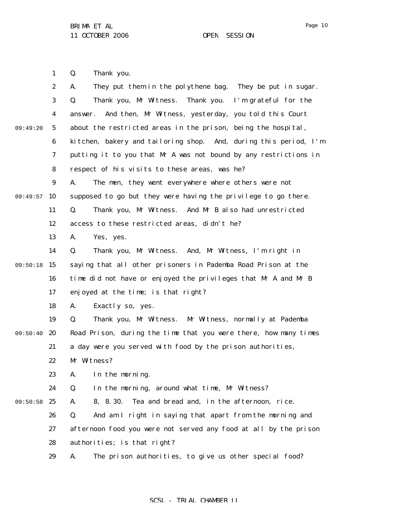Page 10

1 Q. Thank you.

|          | $\boldsymbol{2}$ | They put them in the polythene bag. They be put in sugar.<br>A.  |
|----------|------------------|------------------------------------------------------------------|
|          | 3                | Thank you, Mr Witness. Thank you. I'm grateful for the<br>Q.     |
|          | 4                | And then, Mr Witness, yesterday, you told this Court<br>answer.  |
| 09:49:20 | $5\phantom{.0}$  | about the restricted areas in the prison, being the hospital,    |
|          | 6                | kitchen, bakery and tailoring shop. And, during this period, I'm |
|          | 7                | putting it to you that Mr A was not bound by any restrictions in |
|          | 8                | respect of his visits to these areas, was he?                    |
|          | $\boldsymbol{9}$ | The men, they went everywhere where others were not<br>A.        |
| 09:49:57 | 10               | supposed to go but they were having the privilege to go there.   |
|          | 11               | Thank you, Mr Witness. And Mr B also had unrestricted<br>Q.      |
|          | 12               | access to these restricted areas, didn't he?                     |
|          | 13               | A.<br>Yes, yes.                                                  |
|          | 14               | Thank you, Mr Witness. And, Mr Witness, I'm right in<br>Q.       |
| 09:50:18 | 15               | saying that all other prisoners in Pademba Road Prison at the    |
|          | 16               | time did not have or enjoyed the privileges that Mr A and Mr B   |
|          | 17               | enjoyed at the time; is that right?                              |
|          | 18               | Exactly so, yes.<br>A.                                           |
|          | 19               | Thank you, Mr Witness. Mr Witness, normally at Pademba<br>Q.     |
| 09:50:40 | 20               | Road Prison, during the time that you were there, how many times |
|          | 21               | a day were you served with food by the prison authorities,       |
|          | 22               | Mr Witness?                                                      |
|          | 23               | A.<br>In the morning.                                            |
|          | 24               | In the morning, around what time, Mr Witness?<br>Q.              |
| 09:50:58 | 25               | Tea and bread and, in the afternoon, rice.<br>8, 8.30.<br>A.     |
|          | 26               | Q.<br>And am I right in saying that apart from the morning and   |
|          | 27               | afternoon food you were not served any food at all by the prison |
|          | 28               | authorities; is that right?                                      |
|          | 29               | The prison authorities, to give us other special food?<br>A.     |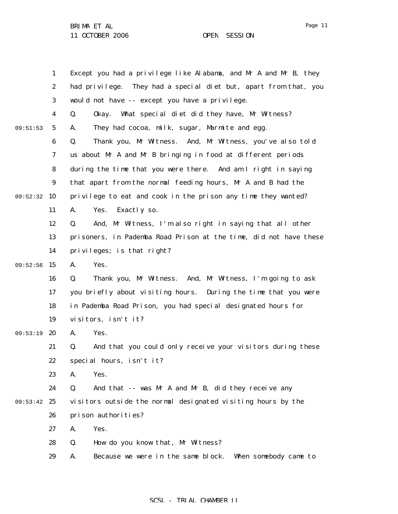|          | 1                | Except you had a privilege like Alabama, and Mr A and Mr B, they  |
|----------|------------------|-------------------------------------------------------------------|
|          | $\boldsymbol{2}$ | had privilege. They had a special diet but, apart from that, you  |
|          | 3                | would not have -- except you have a privilege.                    |
|          | $\boldsymbol{4}$ | Q.<br>What special diet did they have, Mr Witness?<br>0kay.       |
| 09:51:53 | $\mathbf{5}$     | They had cocoa, milk, sugar, Marmite and egg.<br>A.               |
|          | 6                | Thank you, Mr Witness. And, Mr Witness, you've also told<br>Q.    |
|          | 7                | us about Mr A and Mr B bringing in food at different periods      |
|          | 8                | during the time that you were there. And am I right in saying     |
|          | 9                | that apart from the normal feeding hours, Mr A and B had the      |
| 09:52:32 | 10               | privilege to eat and cook in the prison any time they wanted?     |
|          | 11               | Yes.<br>Exactly so.<br>A.                                         |
|          | 12               | And, Mr Witness, I'm also right in saying that all other<br>Q.    |
|          | 13               | prisoners, in Pademba Road Prison at the time, did not have these |
|          | 14               | privileges; is that right?                                        |
| 09:52:56 | 15               | A.<br>Yes.                                                        |
|          | 16               | Thank you, Mr Witness. And, Mr Witness, I'm going to ask<br>Q.    |
|          | 17               | you briefly about visiting hours. During the time that you were   |
|          | 18               | in Pademba Road Prison, you had special designated hours for      |
|          | 19               | visitors, isn't it?                                               |
| 09:53:19 | 20               | A.<br>Yes.                                                        |
|          | 21               | And that you could only receive your visitors during these<br>Q.  |
|          | 22               | special hours, isn't it?                                          |
|          | 23               | Yes.<br>A.                                                        |
|          | 24               | And that -- was Mr A and Mr B, did they receive any<br>Q.         |
| 09:53:42 | 25               | visitors outside the normal designated visiting hours by the      |
|          | 26               | prison authorities?                                               |
|          | 27               | Yes.<br>A.                                                        |
|          | 28               | Q.<br>How do you know that, Mr Witness?                           |
|          | 29               | Because we were in the same block.<br>When somebody came to<br>A. |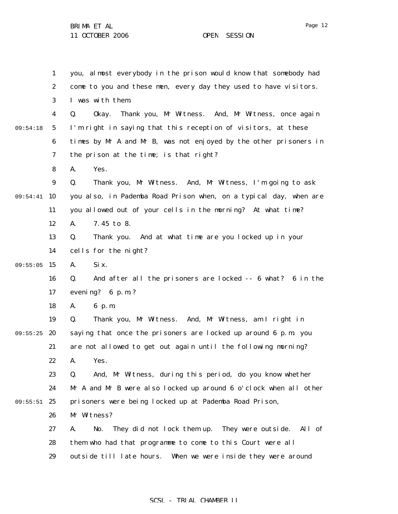1 2 3 4 5 6 7 8 9 09:54:41 10 11 12 13 14 09:55:05 15 16 17 18 19 09:55:25 20 21 22 23 24 09:55:51 25 26 27 28 29 09:54:18 you, almost everybody in the prison would know that somebody had come to you and these men, every day they used to have visitors. I was with them. Q. Okay. Thank you, Mr Witness. And, Mr Witness, once again I'm right in saying that this reception of visitors, at these times by Mr A and Mr B, was not enjoyed by the other prisoners in the prison at the time; is that right? A. Yes. Q. Thank you, Mr Witness. And, Mr Witness, I'm going to ask you also, in Pademba Road Prison when, on a typical day, when are you allowed out of your cells in the morning? At what time? A. 7.45 to 8. Q. Thank you. And at what time are you locked up in your cells for the night? A. Six. Q. And after all the prisoners are locked -- 6 what? 6 in the evening? 6 p.m.? A. 6 p.m. Q. Thank you, Mr Witness. And, Mr Witness, am I right in saying that once the prisoners are locked up around 6 p.m. you are not allowed to get out again until the following morning? A. Yes. Q. And, Mr Witness, during this period, do you know whether Mr A and Mr B were also locked up around 6 o'clock when all other prisoners were being locked up at Pademba Road Prison, Mr Witness? A. No. They did not lock them up. They were outside. All of them who had that programme to come to this Court were all outside till late hours. When we were inside they were around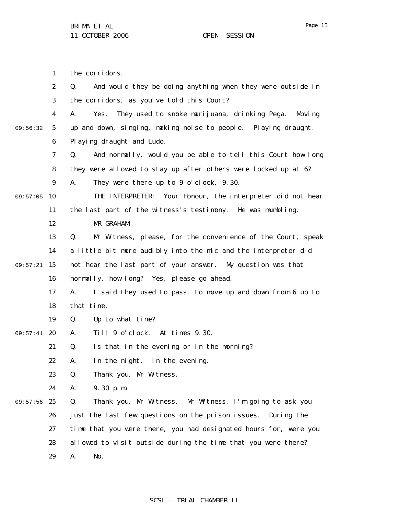1 2 3 4 5 6 7 8 9 09:57:05 10 11 12 13 14 09:57:21 15 16 17 18 19 09:57:41 20 21 22 23 24 09:57:56 25 26 27 28 29 09:56:32 the corridors. Q. And would they be doing anything when they were outside in the corridors, as you've told this Court? A. Yes. They used to smoke marijuana, drinking Pega. Moving up and down, singing, making noise to people. Playing draught. Playing draught and Ludo. Q. And normally, would you be able to tell this Court how long they were allowed to stay up after others were locked up at 6? A. They were there up to 9 o'clock, 9.30. THE INTERPRETER: Your Honour, the interpreter did not hear the last part of the witness's testimony. He was mumbling. MR GRAHAM: Q. Mr Witness, please, for the convenience of the Court, speak a little bit more audibly into the mic and the interpreter did not hear the last part of your answer. My question was that normally, how long? Yes, please go ahead. A. I said they used to pass, to move up and down from 6 up to that time. Q. Up to what time? A. Till 9 o'clock. At times 9.30. Q. Is that in the evening or in the morning? A. In the night. In the evening. Q. Thank you, Mr Witness. A. 9.30 p.m. Q. Thank you, Mr Witness. Mr Witness, I'm going to ask you just the last few questions on the prison issues. During the time that you were there, you had designated hours for, were you allowed to visit outside during the time that you were there? A. No.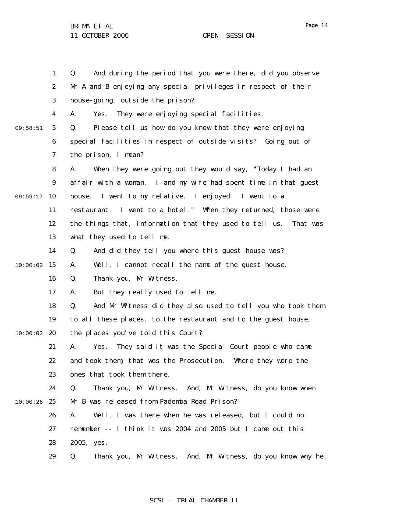1 2 3 4 5 6 7 8 9 09:59:17 10 11 12 13 14  $10:00:02$  15 16 17 18 19  $10:00:02$  20 21 22 23 24  $10:00:26$  25 26 27 28 29 09:58:51 Q. And during the period that you were there, did you observe Mr A and B enjoying any special privileges in respect of their house-going, outside the prison? A. Yes. They were enjoying special facilities. Q. Please tell us how do you know that they were enjoying special facilities in respect of outside visits? Going out of the prison, I mean? A. When they were going out they would say, "Today I had an affair with a woman. I and my wife had spent time in that guest house. I went to my relative. I enjoyed. I went to a restaurant. I went to a hotel." When they returned, those were the things that, information that they used to tell us. That was what they used to tell me. Q. And did they tell you where this guest house was? A. Well, I cannot recall the name of the guest house. Q. Thank you, Mr Witness. A. But they really used to tell me. Q. And Mr Witness did they also used to tell you who took them to all these places, to the restaurant and to the guest house, the places you've told this Court? A. Yes. They said it was the Special Court people who came and took them, that was the Prosecution. Where they were the ones that took them there. Q. Thank you, Mr Witness. And, Mr Witness, do you know when Mr B was released from Pademba Road Prison? A. Well, I was there when he was released, but I could not remember -- I think it was 2004 and 2005 but I came out this 2005, yes. Q. Thank you, Mr Witness. And, Mr Witness, do you know why he

### SCSL - TRIAL CHAMBER II

Page 14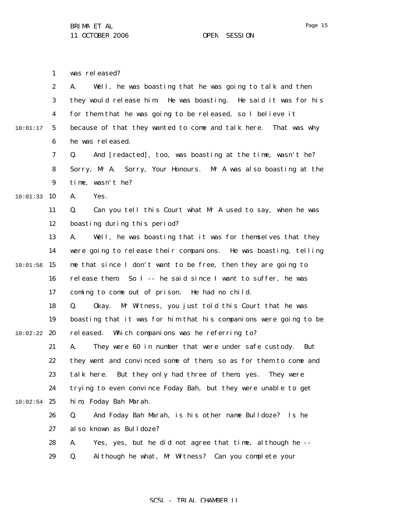|          | $\mathbf{1}$     | was released?                                                     |
|----------|------------------|-------------------------------------------------------------------|
|          | $\boldsymbol{2}$ | Well, he was boasting that he was going to talk and then<br>A.    |
|          | 3                | they would release him. He was boasting. He said it was for his   |
|          | $\boldsymbol{4}$ | for them that he was going to be released, so I believe it        |
| 10:01:17 | $5\phantom{.0}$  | because of that they wanted to come and talk here. That was why   |
|          | 6                | he was released.                                                  |
|          | 7                | And [redacted], too, was boasting at the time, wasn't he?<br>Q.   |
|          | 8                | Sorry, Mr A. Sorry, Your Honours. Mr A was also boasting at the   |
|          | $\boldsymbol{9}$ | time, wasn't he?                                                  |
| 10:01:33 | 10               | A.<br>Yes.                                                        |
|          | 11               | Can you tell this Court what Mr A used to say, when he was<br>Q.  |
|          | 12               | boasting during this period?                                      |
|          | 13               | Well, he was boasting that it was for themselves that they<br>A.  |
|          | 14               | were going to release their companions. He was boasting, telling  |
| 10:01:56 | 15               | me that since I don't want to be free, then they are going to     |
|          | 16               | release them So I -- he said since I want to suffer, he was       |
|          | 17               | coming to come out of prison. He had no child.                    |
|          | 18               | Mr Witness, you just told this Court that he was<br>Q.<br>0kay.   |
|          | 19               | boasting that it was for him that his companions were going to be |
| 10:02:22 | 20               | Which companions was he referring to?<br>rel eased.               |
|          | 21               | They were 60 in number that were under safe custody.<br>A.<br>But |
|          | 22               | they went and convinced some of them, so as for them to come and  |
|          | 23               | But they only had three of them, yes.<br>talk here.<br>They were  |
|          | 24               | trying to even convince Foday Bah, but they were unable to get    |
| 10:02:54 | 25               | him, Foday Bah Marah.                                             |
|          | 26               | Q.<br>And Foday Bah Marah, is his other name Bulldoze? Is he      |
|          | 27               | al so known as Bulldoze?                                          |
|          | 28               | Yes, yes, but he did not agree that time, although he --<br>A.    |
|          | 29               | Although he what, Mr Witness? Can you complete your<br>Q.         |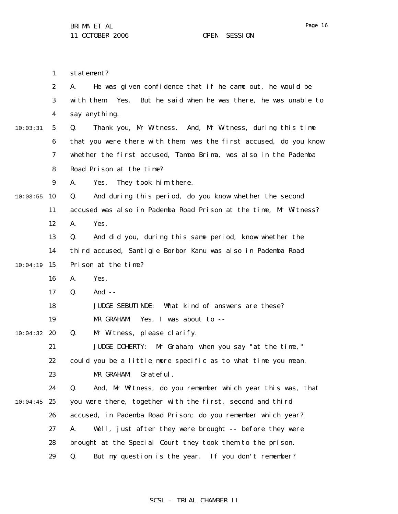1 statement?

|          | $\boldsymbol{2}$ | He was given confidence that if he came out, he would be<br>A.        |
|----------|------------------|-----------------------------------------------------------------------|
|          | 3                | Yes.<br>But he said when he was there, he was unable to<br>with them. |
|          | 4                | say anything.                                                         |
| 10:03:31 | $\mathbf{5}$     | Thank you, Mr Witness. And, Mr Witness, during this time<br>Q.        |
|          | 6                | that you were there with them, was the first accused, do you know     |
|          | 7                | whether the first accused, Tamba Brima, was also in the Pademba       |
|          | 8                | Road Prison at the time?                                              |
|          | 9                | A.<br>They took him there.<br>Yes.                                    |
| 10:03:55 | 10               | And during this period, do you know whether the second<br>Q.          |
|          | 11               | accused was also in Pademba Road Prison at the time, Mr Witness?      |
|          | 12               | A.<br>Yes.                                                            |
|          | 13               | And did you, during this same period, know whether the<br>Q.          |
|          | 14               | third accused, Santigie Borbor Kanu was also in Pademba Road          |
| 10:04:19 | 15               | Prison at the time?                                                   |
|          | 16               | A.<br>Yes.                                                            |
|          | 17               | And $-$<br>Q.                                                         |
|          | 18               | What kind of answers are these?<br><b>JUDGE SEBUTINDE:</b>            |
|          | 19               | MR GRAHAM:<br>Yes, I was about to --                                  |
| 10:04:32 | 20               | Q.<br>Mr Witness, please clarify.                                     |
|          | 21               | <b>JUDGE DOHERTY:</b><br>Mr Graham, when you say "at the time,"       |
|          | 22               | could you be a little more specific as to what time you mean.         |
|          | 23               | Grateful.<br>MR GRAHAM:                                               |
|          | 24               | And, Mr Witness, do you remember which year this was, that<br>Q.      |
| 10:04:45 | 25               | you were there, together with the first, second and third             |
|          | 26               | accused, in Pademba Road Prison; do you remember which year?          |
|          | 27               | Well, just after they were brought -- before they were<br>A.          |
|          | 28               | brought at the Special Court they took them to the prison.            |
|          | 29               | Q.<br>But my question is the year. If you don't remember?             |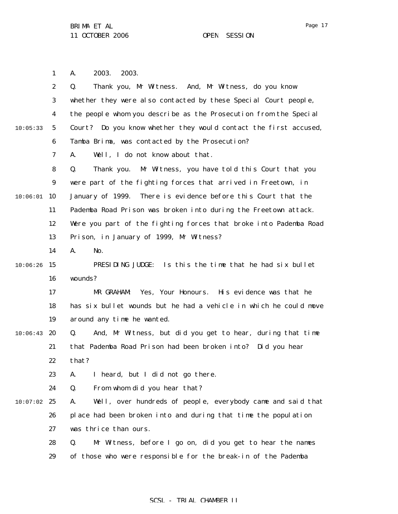Page 17

1 A. 2003. 2003.

|          | $\boldsymbol{2}$ | Thank you, Mr Witness. And, Mr Witness, do you know<br>Q.         |
|----------|------------------|-------------------------------------------------------------------|
|          | 3                | whether they were also contacted by these Special Court people,   |
|          | $\boldsymbol{4}$ | the people whom you describe as the Prosecution from the Special  |
| 10:05:33 | 5                | Court? Do you know whether they would contact the first accused,  |
|          | $\boldsymbol{6}$ | Tamba Brima, was contacted by the Prosecution?                    |
|          | $\boldsymbol{7}$ | Well, I do not know about that.<br>A.                             |
|          | 8                | Thank you. Mr Witness, you have told this Court that you<br>Q.    |
|          | 9                | were part of the fighting forces that arrived in Freetown, in     |
| 10:06:01 | 10               | There is evidence before this Court that the<br>January of 1999.  |
|          | 11               | Pademba Road Prison was broken into during the Freetown attack.   |
|          | 12               | Were you part of the fighting forces that broke into Pademba Road |
|          | 13               | Prison, in January of 1999, Mr Witness?                           |
|          | 14               | A.<br>No.                                                         |
| 10:06:26 | 15               | Is this the time that he had six bullet<br>PRESIDING JUDGE:       |
|          | 16               | wounds?                                                           |
|          | 17               | Yes, Your Honours.<br>His evidence was that he<br>MR GRAHAM:      |
|          | 18               | has six bullet wounds but he had a vehicle in which he could move |
|          | 19               | around any time he wanted.                                        |
| 10:06:43 | 20               | And, Mr Witness, but did you get to hear, during that time<br>Q.  |
|          | 21               | that Pademba Road Prison had been broken into? Did you hear       |
|          | 22               | that?                                                             |
|          | 23               | A. I heard, but I did not go there.                               |
|          | 24               | From whom did you hear that?<br>Q.                                |
| 10:07:02 | 25               | Well, over hundreds of people, everybody came and said that<br>A. |
|          | 26               | place had been broken into and during that time the population    |
|          | 27               | was thrice than ours.                                             |
|          | 28               | Q.<br>Mr Witness, before I go on, did you get to hear the names   |
|          | 29               | of those who were responsible for the break-in of the Pademba     |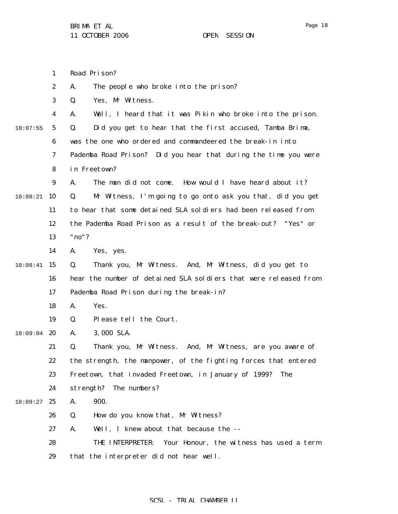|          | $\mathbf{1}$     | Road Prison?                                                     |
|----------|------------------|------------------------------------------------------------------|
|          | $\boldsymbol{2}$ | A.<br>The people who broke into the prison?                      |
|          | 3                | Yes, Mr Witness.<br>Q.                                           |
|          | 4                | Well, I heard that it was Pikin who broke into the prison.<br>A. |
| 10:07:55 | 5                | Did you get to hear that the first accused, Tamba Brima,<br>Q.   |
|          | 6                | was the one who ordered and commandeered the break-in into       |
|          | 7                | Pademba Road Prison? Did you hear that during the time you were  |
|          | 8                | in Freetown?                                                     |
|          | 9                | The man did not come. How would I have heard about it?<br>A.     |
| 10:08:21 | 10               | Mr Witness, I'm going to go onto ask you that, did you get<br>Q. |
|          | 11               | to hear that some detained SLA soldiers had been released from   |
|          | 12               | the Pademba Road Prison as a result of the break-out? "Yes" or   |
|          | 13               | "no"?                                                            |
|          | 14               | Yes, yes.<br>A.                                                  |
| 10:08:41 | 15               | Thank you, Mr Witness. And, Mr Witness, did you get to<br>Q.     |
|          | 16               | hear the number of detained SLA soldiers that were released from |
|          | 17               | Pademba Road Prison during the break-in?                         |
|          | 18               | A.<br>Yes.                                                       |
|          | 19               | Please tell the Court.<br>Q.                                     |
| 10:09:04 | 20               | 3,000 SLA.<br>A.                                                 |
|          | 21               | Thank you, Mr Witness. And, Mr Witness, are you aware of<br>Q.   |
|          | 22               | the strength, the manpower, of the fighting forces that entered  |
|          | 23               | Freetown, that invaded Freetown, in January of 1999?<br>The      |
|          | 24               | strength? The numbers?                                           |
| 10:09:27 | 25               | 900.<br>A.                                                       |
|          | 26               | How do you know that, Mr Witness?<br>Q.                          |
|          | 27               | Well, I knew about that because the --<br>A.                     |
|          | 28               | Your Honour, the witness has used a term<br>THE INTERPRETER:     |

29 that the interpreter did not hear well.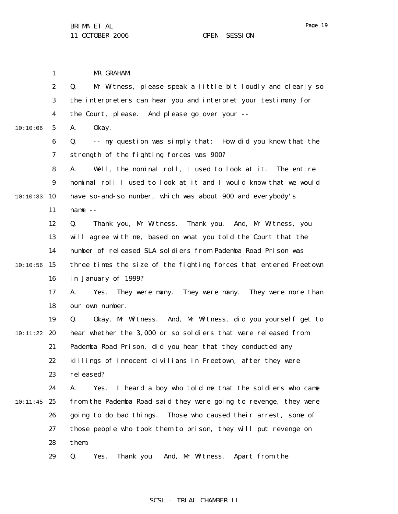MR GRAHAM:

1

2 3 4 5 6 7 8 9 10:10:33 10 11 12 13 14  $10:10:56$  15 16 17 18 19 10:11:22 **20** 21 22 23 24  $10:11:45$  25 26 27 28 29 10:10:06 Q. Mr Witness, please speak a little bit loudly and clearly so the interpreters can hear you and interpret your testimony for the Court, please. And please go over your -- A. Okay. Q. -- my question was simply that: How did you know that the strength of the fighting forces was 900? A. Well, the nominal roll, I used to look at it. The entire nominal roll I used to look at it and I would know that we would have so-and-so number, which was about 900 and everybody's name -- Q. Thank you, Mr Witness. Thank you. And, Mr Witness, you will agree with me, based on what you told the Court that the number of released SLA soldiers from Pademba Road Prison was three times the size of the fighting forces that entered Freetown in January of 1999? A. Yes. They were many. They were many. They were more than our own number. Q. Okay, Mr Witness. And, Mr Witness, did you yourself get to hear whether the 3,000 or so soldiers that were released from Pademba Road Prison, did you hear that they conducted any killings of innocent civilians in Freetown, after they were rel eased? A. Yes. I heard a boy who told me that the soldiers who came from the Pademba Road said they were going to revenge, they were going to do bad things. Those who caused their arrest, some of those people who took them to prison, they will put revenge on them. Q. Yes. Thank you. And, Mr Witness. Apart from the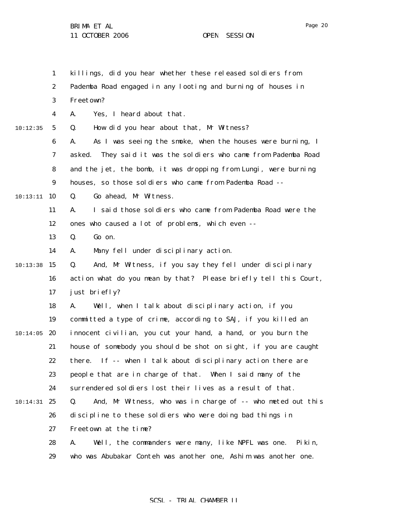1 2 3 4 5 6 7 8 9 10 10:13:11 11 12 13 14  $10:13:38$  15 16 17 18 19  $10:14:05$  20 21 22 23 24 10:14:31 25 26 27 28 29 10:12:35 killings, did you hear whether these released soldiers from Pademba Road engaged in any looting and burning of houses in Freetown? A. Yes, I heard about that. Q. How did you hear about that, Mr Witness? A. As I was seeing the smoke, when the houses were burning, I asked. They said it was the soldiers who came from Pademba Road and the jet, the bomb, it was dropping from Lungi, were burning houses, so those soldiers who came from Pademba Road -- Q. Go ahead, Mr Witness. A. I said those soldiers who came from Pademba Road were the ones who caused a lot of problems, which even -- Q. Go on. A. Many fell under disciplinary action. Q. And, Mr Witness, if you say they fell under disciplinary action what do you mean by that? Please briefly tell this Court, just briefly? A. Well, when I talk about disciplinary action, if you committed a type of crime, according to SAJ, if you killed an innocent civilian, you cut your hand, a hand, or you burn the house of somebody you should be shot on sight, if you are caught there. If -- when I talk about disciplinary action there are people that are in charge of that. When I said many of the surrendered soldiers lost their lives as a result of that. Q. And, Mr Witness, who was in charge of -- who meted out this discipline to these soldiers who were doing bad things in Freetown at the time? A. Well, the commanders were many, like NPFL was one. Pikin, who was Abubakar Conteh was another one, Ashim was another one.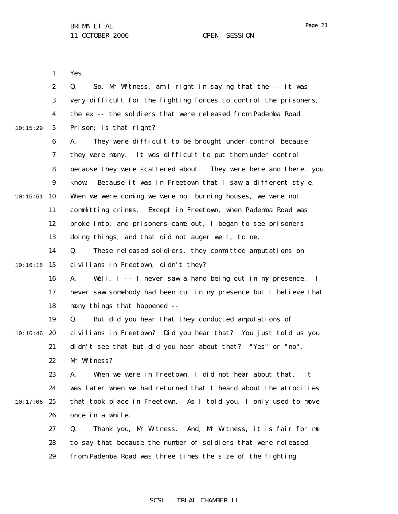Page 21

1 Yes.

|          | $\boldsymbol{2}$ | So, Mr Witness, am I right in saying that the -- it was<br>Q.                 |
|----------|------------------|-------------------------------------------------------------------------------|
|          | 3                | very difficult for the fighting forces to control the prisoners,              |
|          | $\boldsymbol{4}$ | the ex -- the soldiers that were released from Pademba Road                   |
| 10:15:29 | $\mathbf{5}$     | Prison; is that right?                                                        |
|          | 6                | They were difficult to be brought under control because<br>A.                 |
|          | 7                | they were many. It was difficult to put them under control                    |
|          | 8                | because they were scattered about. They were here and there, you              |
|          | $\boldsymbol{9}$ | Because it was in Freetown that I saw a different style.<br>know.             |
| 10:15:51 | 10               | When we were coming we were not burning houses, we were not                   |
|          | 11               | committing crimes. Except in Freetown, when Pademba Road was                  |
|          | 12               | broke into, and prisoners came out, I began to see prisoners                  |
|          | 13               | doing things, and that did not auger well, to me.                             |
|          | 14               | These released soldiers, they committed amputations on<br>Q.                  |
| 10:16:18 | 15               | civilians in Freetown, didn't they?                                           |
|          | 16               | Well, I -- I never saw a hand being cut in my presence.<br>A.<br>$\mathbf{I}$ |
|          | 17               | never saw somebody had been cut in my presence but I believe that             |
|          | 18               | many things that happened --                                                  |
|          | 19               | But did you hear that they conducted amputations of<br>Q.                     |
| 10:16:46 | 20               | civilians in Freetown? Did you hear that? You just told us you                |
|          | 21               | didn't see that but did you hear about that? "Yes" or "no",                   |
|          | 22               | Mr Witness?                                                                   |
|          | 23               | When we were in Freetown, I did not hear about that.<br>A.<br>It              |
|          | 24               | was later when we had returned that I heard about the atrocities              |
| 10:17:06 | 25               | that took place in Freetown. As I told you, I only used to move               |
|          | 26               | once in a while.                                                              |
|          | 27               | Thank you, Mr Witness. And, Mr Witness, it is fair for me<br>Q.               |
|          | 28               | to say that because the number of soldiers that were released                 |
|          | 29               | from Pademba Road was three times the size of the fighting                    |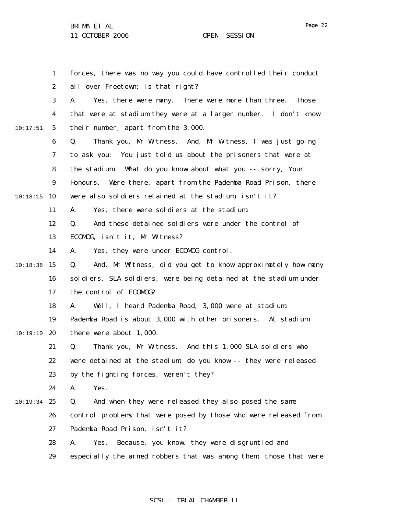1 2 3 4 5 6 7 8 9 10:18:15 10 11 12 13 14  $10:18:38$  15 16 17 18 19  $10:19:10$  20 21 22 23 24 10:19:34 25 26 27 28 10:17:51 forces, there was no way you could have controlled their conduct all over Freetown; is that right? A. Yes, there were many. There were more than three. Those that were at stadium they were at a larger number. I don't know their number, apart from the 3,000. Q. Thank you, Mr Witness. And, Mr Witness, I was just going to ask you: You just told us about the prisoners that were at the stadium. What do you know about what you -- sorry, Your Honours. Were there, apart from the Pademba Road Prison, there were also soldiers retained at the stadium, isn't it? A. Yes, there were soldiers at the stadium. Q. And these detained soldiers were under the control of ECOMOG, isn't it, Mr Witness? A. Yes, they were under ECOMOG control. Q. And, Mr Witness, did you get to know approximately how many soldiers, SLA soldiers, were being detained at the stadium under the control of ECOMOG? A. Well, I heard Pademba Road, 3,000 were at stadium. Pademba Road is about 3,000 with other prisoners. At stadium there were about 1,000. Q. Thank you, Mr Witness. And this 1,000 SLA soldiers who were detained at the stadium, do you know -- they were released by the fighting forces, weren't they? A. Yes. Q. And when they were released they also posed the same control problems that were posed by those who were released from Pademba Road Prison, isn't it? A. Yes. Because, you know, they were disgruntled and

### 29 especially the armed robbers that was among them, those that were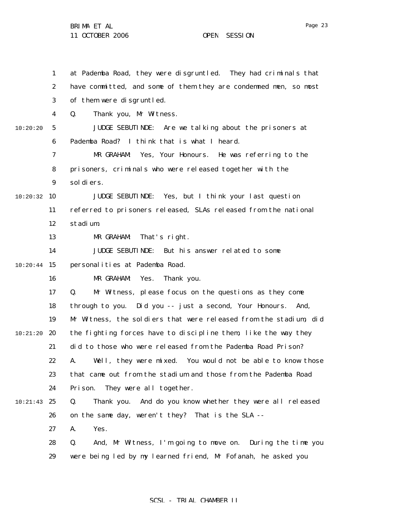29

1 2 3 4 5 6 7 8 9 10:20:32 10 11 12 13 14  $10:20:44$  15 16 17 18 19 10:21:20 **20** 21 22 23 24 10:21:43 25 26 27 28 10:20:20 at Pademba Road, they were disgruntled. They had criminals that have committed, and some of them they are condemned men, so most of them were disgruntled. Q. Thank you, Mr Witness. JUDGE SEBUTINDE: Are we talking about the prisoners at Pademba Road? I think that is what I heard. MR GRAHAM: Yes, Your Honours. He was referring to the prisoners, criminals who were released together with the soldiers. JUDGE SEBUTINDE: Yes, but I think your last question referred to prisoners released, SLAs released from the national stadium. MR GRAHAM: That's right. JUDGE SEBUTINDE: But his answer related to some personalities at Pademba Road. MR GRAHAM: Yes. Thank you. Q. Mr Witness, please focus on the questions as they come through to you. Did you -- just a second, Your Honours. And, Mr Witness, the soldiers that were released from the stadium, did the fighting forces have to discipline them, like the way they did to those who were released from the Pademba Road Prison? A. Well, they were mixed. You would not be able to know those that came out from the stadium and those from the Pademba Road Prison. They were all together. Q. Thank you. And do you know whether they were all released on the same day, weren't they? That is the SLA -- A. Yes. Q. And, Mr Witness, I'm going to move on. During the time you

### SCSL - TRIAL CHAMBER II

were being led by my learned friend, Mr Fofanah, he asked you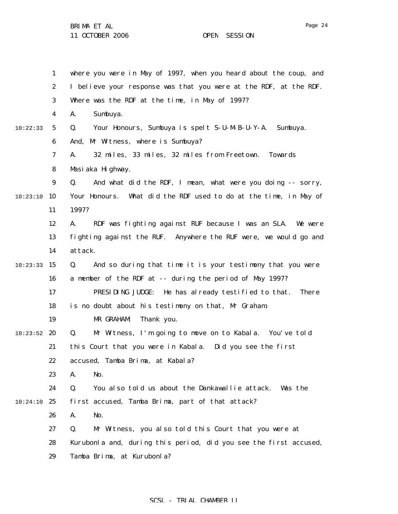1 2 3 4 5 6 7 8 9 10 10:23:10 11 12 13 14  $10:23:33$  15 16 17 18 19  $10:23:52$  20 21 22 23 24 10:24:10 25 26 27 28 29 10:22:33 where you were in May of 1997, when you heard about the coup, and I believe your response was that you were at the RDF, at the RDF. Where was the RDF at the time, in May of 1997? A. Sumbuya. Q. Your Honours, Sumbuya is spelt S-U-M-B-U-Y-A. Sumbuya. And, Mr Witness, where is Sumbuya? A. 32 miles, 33 miles, 32 miles from Freetown. Towards Masiaka Highway. Q. And what did the RDF, I mean, what were you doing -- sorry, Your Honours. What did the RDF used to do at the time, in May of 1997? A. RDF was fighting against RUF because I was an SLA. We were fighting against the RUF. Anywhere the RUF were, we would go and attack. Q. And so during that time it is your testimony that you were a member of the RDF at -- during the period of May 1997? PRESIDING JUDGE: He has already testified to that. There is no doubt about his testimony on that, Mr Graham. MR GRAHAM: Thank you. Q. Mr Witness, I'm going to move on to Kabala. You've told this Court that you were in Kabala. Did you see the first accused, Tamba Brima, at Kabala? A. No. Q. You also told us about the Dankawallie attack. Was the first accused, Tamba Brima, part of that attack? A. No. Q. Mr Witness, you also told this Court that you were at Kurubonla and, during this period, did you see the first accused, Tamba Brima, at Kurubonla?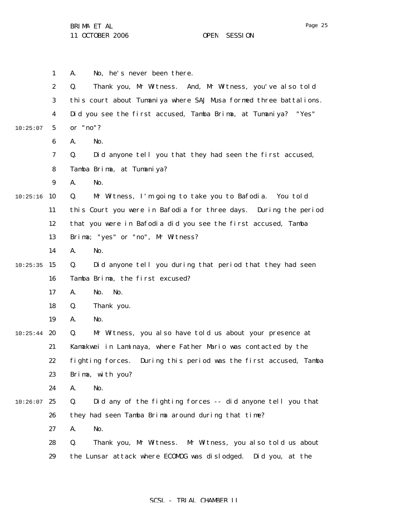|          | $\mathbf{1}$     | No, he's never been there.<br>A.                                  |
|----------|------------------|-------------------------------------------------------------------|
|          | $\boldsymbol{2}$ | Thank you, Mr Witness. And, Mr Witness, you've also told<br>Q.    |
|          | 3                | this court about Tumaniya where SAJ Musa formed three battalions. |
|          | 4                | Did you see the first accused, Tamba Brima, at Tumaniya? "Yes"    |
| 10:25:07 | $5\phantom{.0}$  | or "no"?                                                          |
|          | 6                | No.<br>A.                                                         |
|          | 7                | Did anyone tell you that they had seen the first accused,<br>Q.   |
|          | 8                | Tamba Brima, at Tumaniya?                                         |
|          | 9                | No.<br>A.                                                         |
| 10:25:16 | 10               | Mr Witness, I'm going to take you to Bafodia. You told<br>Q.      |
|          | 11               | this Court you were in Bafodia for three days. During the period  |
|          | 12               | that you were in Bafodia did you see the first accused, Tamba     |
|          | 13               | Brima; "yes" or "no", Mr Witness?                                 |
|          | 14               | A.<br>No.                                                         |
| 10:25:35 | 15               | Did anyone tell you during that period that they had seen<br>Q.   |
|          | 16               | Tamba Brima, the first excused?                                   |
|          | 17               | No.<br>No.<br>A.                                                  |
|          | 18               | Q.<br>Thank you.                                                  |
|          | 19               | No.<br>A.                                                         |
| 10:25:44 | 20               | Mr Witness, you also have told us about your presence at<br>Q.    |
|          | 21               | Kamakwei in Laminaya, where Father Mario was contacted by the     |
|          | 22               | fighting forces. During this period was the first accused, Tamba  |
|          | 23               | Brima, with you?                                                  |
|          | 24               | No.<br>A.                                                         |
| 10:26:07 | 25               | Q.<br>Did any of the fighting forces -- did anyone tell you that  |
|          | 26               | they had seen Tamba Brima around during that time?                |
|          | 27               | No.<br>A.                                                         |
|          | 28               | Q.<br>Thank you, Mr Witness. Mr Witness, you also told us about   |
|          | 29               | the Lunsar attack where ECOMDG was dislodged.<br>Did you, at the  |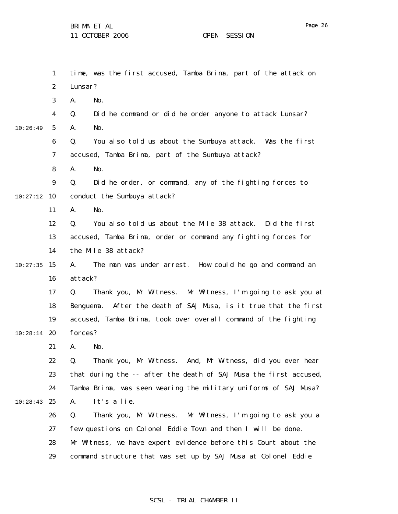1 2 3 4 5 6 7 8 9 10:27:12 10 11 12 13 14  $10:27:35$  15 16 17 18 19  $10:28:14$  20 21 22 23 24  $10:28:43$  25 26 27 28 29 10:26:49 time, was the first accused, Tamba Brima, part of the attack on Lunsar? A. No. Q. Did he command or did he order anyone to attack Lunsar? A. No. Q. You also told us about the Sumbuya attack. Was the first accused, Tamba Brima, part of the Sumbuya attack? A. No. Q. Did he order, or command, any of the fighting forces to conduct the Sumbuya attack? A. No. Q. You also told us about the Mile 38 attack. Did the first accused, Tamba Brima, order or command any fighting forces for the Mile 38 attack? A. The man was under arrest. How could he go and command an attack? Q. Thank you, Mr Witness. Mr Witness, I'm going to ask you at Benguema. After the death of SAJ Musa, is it true that the first accused, Tamba Brima, took over overall command of the fighting forces? A. No. Q. Thank you, Mr Witness. And, Mr Witness, did you ever hear that during the -- after the death of SAJ Musa the first accused, Tamba Brima, was seen wearing the military uniforms of SAJ Musa? A. It's a lie. Q. Thank you, Mr Witness. Mr Witness, I'm going to ask you a few questions on Colonel Eddie Town and then I will be done. Mr Witness, we have expert evidence before this Court about the command structure that was set up by SAJ Musa at Colonel Eddie

### SCSL - TRIAL CHAMBER II

Page 26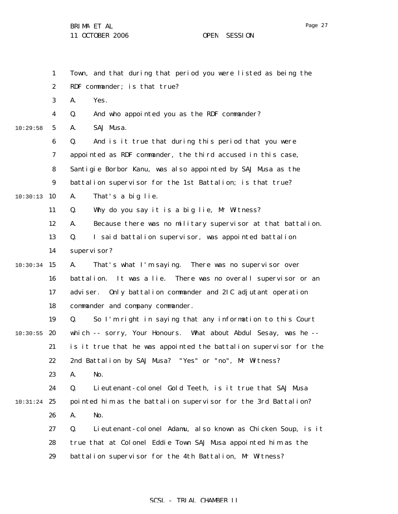1 2 3 4 5 6 7 8 9 10:30:13 10 11 12 13 14  $10:30:34$  15 16 17 18 19  $10:30:55$  20 21 22 23 24  $10:31:24$  25 26 27 28 29 10:29:58 Town, and that during that period you were listed as being the RDF commander; is that true? A. Yes. Q. And who appointed you as the RDF commander? A. SAJ Musa. Q. And is it true that during this period that you were appointed as RDF commander, the third accused in this case, Santigie Borbor Kanu, was also appointed by SAJ Musa as the battalion supervisor for the 1st Battalion; is that true? A. That's a big lie. Q. Why do you say it is a big lie, Mr Witness? A. Because there was no military supervisor at that battalion. Q. I said battalion supervisor, was appointed battalion supervisor? A. That's what I'm saying. There was no supervisor over battalion. It was a lie. There was no overall supervisor or an adviser. Only battalion commander and 2IC adjutant operation commander and company commander. Q. So I'm right in saying that any information to this Court which -- sorry, Your Honours. What about Abdul Sesay, was he - is it true that he was appointed the battalion supervisor for the 2nd Battalion by SAJ Musa? "Yes" or "no", Mr Witness? A. No. Q. Lieutenant-colonel Gold Teeth, is it true that SAJ Musa pointed him as the battalion supervisor for the 3rd Battalion? A. No. Q. Lieutenant-colonel Adamu, also known as Chicken Soup, is it true that at Colonel Eddie Town SAJ Musa appointed him as the battalion supervisor for the 4th Battalion, Mr Witness?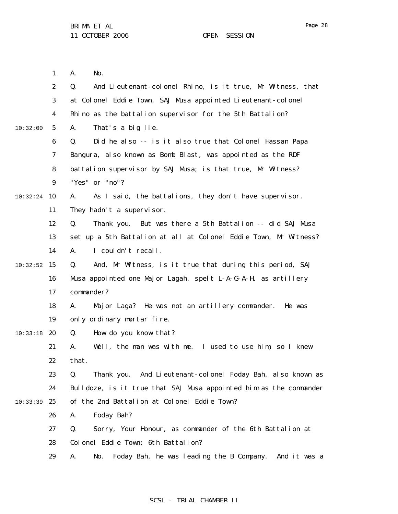1 2 3 4 5 6 7 8 9 10:32:24 10 11 12 13 14  $10:32:52$  15 16 17 18 19 10:33:18 20 21 22 23 24 10:33:39 25 26 27 28 29 10:32:00 A. No. Q. And Lieutenant-colonel Rhino, is it true, Mr Witness, that at Colonel Eddie Town, SAJ Musa appointed Lieutenant-colonel Rhino as the battalion supervisor for the 5th Battalion? A. That's a big lie. Q. Did he also -- is it also true that Colonel Hassan Papa Bangura, also known as Bomb Blast, was appointed as the RDF battalion supervisor by SAJ Musa; is that true, Mr Witness? "Yes" or "no"? A. As I said, the battalions, they don't have supervisor. They hadn't a supervisor. Q. Thank you. But was there a 5th Battalion -- did SAJ Musa set up a 5th Battalion at all at Colonel Eddie Town, Mr Witness? A. I couldn't recall. Q. And, Mr Witness, is it true that during this period, SAJ Musa appointed one Major Lagah, spelt L-A-G-A-H, as artillery commander? A. Major Laga? He was not an artillery commander. He was only ordinary mortar fire. Q. How do you know that? A. Well, the man was with me. I used to use him, so I knew that. Q. Thank you. And Lieutenant-colonel Foday Bah, also known as Bulldoze, is it true that SAJ Musa appointed him as the commander of the 2nd Battalion at Colonel Eddie Town? A. Foday Bah? Q. Sorry, Your Honour, as commander of the 6th Battalion at Colonel Eddie Town; 6th Battalion? A. No. Foday Bah, he was leading the B Company. And it was a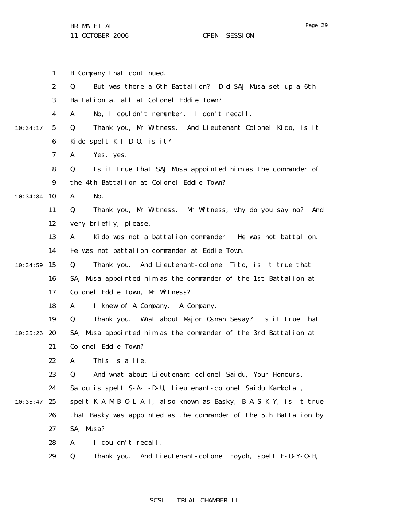|          | $\mathbf{1}$     | B Company that continued.                                          |
|----------|------------------|--------------------------------------------------------------------|
|          | $\boldsymbol{2}$ | But was there a 6th Battalion? Did SAJ Musa set up a 6th<br>Q.     |
|          | 3                | Battalion at all at Colonel Eddie Town?                            |
|          | 4                | No, I couldn't remember. I don't recall.<br>A.                     |
| 10:34:17 | $5\phantom{.0}$  | Thank you, Mr Witness. And Lieutenant Colonel Kido, is it<br>Q.    |
|          | 6                | Kido spelt $K-I-D-0$ , is it?                                      |
|          | 7                | Yes, yes.<br>A.                                                    |
|          | 8                | Is it true that SAJ Musa appointed him as the commander of<br>Q.   |
|          | $\boldsymbol{9}$ | the 4th Battalion at Colonel Eddie Town?                           |
| 10:34:34 | 10               | A.<br>No.                                                          |
|          | 11               | Thank you, Mr Witness. Mr Witness, why do you say no? And<br>Q.    |
|          | 12               | very briefly, please.                                              |
|          | 13               | Kido was not a battalion commander. He was not battalion.<br>A.    |
|          | 14               | He was not battalion commander at Eddie Town.                      |
| 10:34:59 | 15               | Thank you. And Lieutenant-colonel Tito, is it true that<br>Q.      |
|          | 16               | SAJ Musa appointed him as the commander of the 1st Battalion at    |
|          | 17               | Colonel Eddie Town, Mr Witness?                                    |
|          | 18               | I knew of A Company. A Company.<br>A.                              |
|          | 19               | Thank you. What about Major Osman Sesay? Is it true that<br>Q.     |
| 10:35:26 | 20               | SAJ Musa appointed him as the commander of the 3rd Battalion at    |
|          | 21               | Colonel Eddie Town?                                                |
|          | 22               | A. This is a lie                                                   |
|          | 23               | And what about Lieutenant-colonel Saidu, Your Honours,<br>Q.       |
|          | 24               | Saidu is spelt S-A-I-D-U, Lieutenant-colonel Saidu Kambolai,       |
| 10:35:47 | 25               | spelt K-A-M-B-O-L-A-I, also known as Basky, B-A-S-K-Y, is it true  |
|          | 26               | that Basky was appointed as the commander of the 5th Battalion by  |
|          | 27               | SAJ Musa?                                                          |
|          | 28               | I couldn't recall.<br>A.                                           |
|          | 29               | And Lieutenant-colonel Foyoh, spelt F-0-Y-0-H,<br>Q.<br>Thank you. |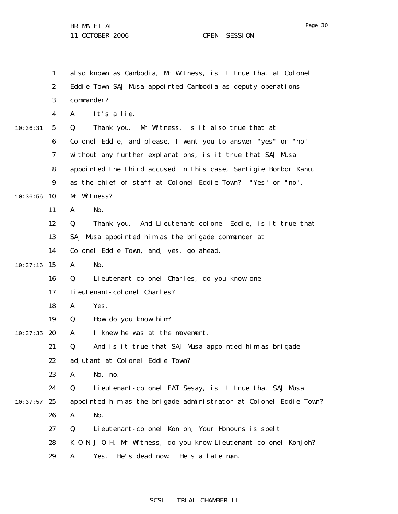1 2 3 4 5 6 7 8 9  $10:36:56$  10 11 12 13 14  $10:37:16$  15 16 17 18 19  $10:37:35$  20 21 22 23 24  $10:37:57$  25 26 27 28 29 10:36:31 also known as Cambodia, Mr Witness, is it true that at Colonel Eddie Town SAJ Musa appointed Cambodia as deputy operations commander? A. It's a lie. Q. Thank you. Mr Witness, is it also true that at Colonel Eddie, and please, I want you to answer "yes" or "no" without any further explanations, is it true that SAJ Musa appointed the third accused in this case, Santigie Borbor Kanu, as the chief of staff at Colonel Eddie Town? "Yes" or "no", Mr Witness? A. No. Q. Thank you. And Lieutenant-colonel Eddie, is it true that SAJ Musa appointed him as the brigade commander at Colonel Eddie Town, and, yes, go ahead. A. No. Q. Lieutenant-colonel Charles, do you know one Lieutenant-colonel Charles? A. Yes. Q. How do you know him? A. I knew he was at the movement. Q. And is it true that SAJ Musa appointed him as brigade adjutant at Colonel Eddie Town? A. No, no. Q. Lieutenant-colonel FAT Sesay, is it true that SAJ Musa appointed him as the brigade administrator at Colonel Eddie Town? A. No. Q. Lieutenant-colonel Konjoh, Your Honours is spelt K-O-N-J-O-H, Mr Witness, do you know Lieutenant-colonel Konjoh? A. Yes. He's dead now. He's a late man.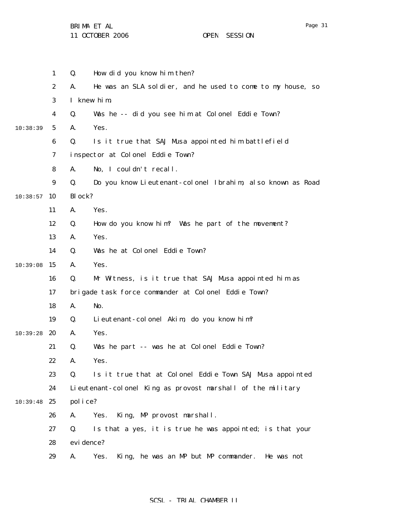11 OCTOBER 2006 OPEN SESSION

|          | $\mathbf{1}$     | Q.         | How did you know him then?                                  |
|----------|------------------|------------|-------------------------------------------------------------|
|          | $\boldsymbol{2}$ | A.         | He was an SLA soldier, and he used to come to my house, so  |
|          | 3                |            | I knew him.                                                 |
|          | 4                | Q.         | Was he -- did you see him at Colonel Eddie Town?            |
| 10:38:39 | $5\phantom{.0}$  | A.         | Yes.                                                        |
|          | $\boldsymbol{6}$ | Q.         | Is it true that SAJ Musa appointed him battlefield          |
|          | 7                |            | inspector at Colonel Eddie Town?                            |
|          | 8                | A.         | No, I couldn't recall.                                      |
|          | 9                | Q.         | Do you know Lieutenant-colonel Ibrahim, also known as Road  |
| 10:38:57 | 10               | Block?     |                                                             |
|          | 11               | A.         | Yes.                                                        |
|          | 12               | Q.         | How do you know him? Was he part of the movement?           |
|          | 13               | A.         | Yes.                                                        |
|          | 14               | Q.         | Was he at Colonel Eddie Town?                               |
| 10:39:08 | 15               | A.         | Yes.                                                        |
|          | 16               | Q.         | Mr Witness, is it true that SAJ Musa appointed him as       |
|          | 17               |            | brigade task force commander at Colonel Eddie Town?         |
|          | 18               | A.         | No.                                                         |
|          | 19               | Q.         | Lieutenant-colonel Akim, do you know him?                   |
| 10:39:28 | 20               | A.         | Yes.                                                        |
|          | 21               | Q.         | Was he part -- was he at Colonel Eddie Town?                |
|          | 22               | A.         | Yes.                                                        |
|          | 23               | Q.         | Is it true that at Colonel Eddie Town SAJ Musa appointed    |
|          | 24               |            | Lieutenant-colonel King as provost marshall of the military |
| 10:39:48 | 25               | police?    |                                                             |
|          | 26               | A.         | King, MP provost marshall.<br>Yes.                          |
|          | 27               | Q.         | Is that a yes, it is true he was appointed; is that your    |
|          | 28               | evi dence? |                                                             |
|          | 29               | A.         | King, he was an MP but MP commander. He was not<br>Yes.     |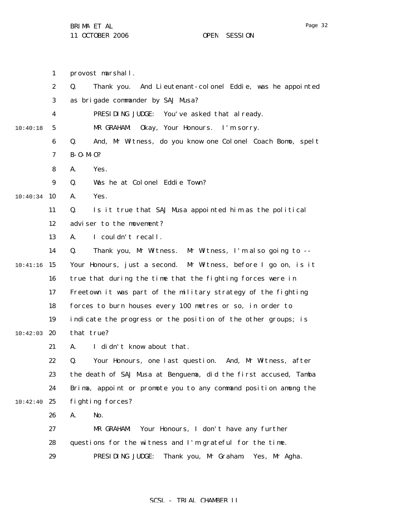|          | $\mathbf{1}$     | provost marshall.                                                  |
|----------|------------------|--------------------------------------------------------------------|
|          | $\boldsymbol{2}$ | Q.<br>And Lieutenant-colonel Eddie, was he appointed<br>Thank you. |
|          | 3                | as brigade commander by SAJ Musa?                                  |
|          | 4                | PRESIDING JUDGE:<br>You've asked that already.                     |
| 10:40:18 | 5                | Okay, Your Honours.<br>MR GRAHAM:<br>I'm sorry.                    |
|          | $\boldsymbol{6}$ | Q.<br>And, Mr Witness, do you know one Colonel Coach Bomo, spelt   |
|          | 7                | $B - 0 - M - 0?$                                                   |
|          | 8                | A.<br>Yes.                                                         |
|          | 9                | Was he at Colonel Eddie Town?<br>Q.                                |
| 10:40:34 | 10               | Yes.<br>A.                                                         |
|          | 11               | Is it true that SAJ Musa appointed him as the political<br>Q.      |
|          | 12               | adviser to the movement?                                           |
|          | 13               | A.<br>I couldn't recall.                                           |
|          | 14               | Q.<br>Thank you, Mr Witness. Mr Witness, I'm also going to --      |
| 10:41:16 | 15               | Your Honours, just a second. Mr Witness, before I go on, is it     |
|          | 16               | true that during the time that the fighting forces were in         |
|          | 17               | Freetown it was part of the military strategy of the fighting      |
|          | 18               | forces to burn houses every 100 metres or so, in order to          |
|          | 19               | indicate the progress or the position of the other groups; is      |
| 10:42:03 | 20               | that true?                                                         |
|          | 21               | I didn't know about that.<br>A.                                    |
|          | 22               | Your Honours, one last question. And, Mr Witness, after<br>Q.      |
|          | 23               | the death of SAJ Musa at Benguema, did the first accused, Tamba    |
|          | 24               | Brima, appoint or promote you to any command position among the    |
| 10:42:40 | 25               | fighting forces?                                                   |
|          | 26               | A.<br>No.                                                          |
|          | 27               | Your Honours, I don't have any further<br>MR GRAHAM:               |
|          | 28               | questions for the witness and I'm grateful for the time.           |
|          | 29               | PRESIDING JUDGE:<br>Thank you, Mr Graham.<br>Yes, Mr Agha.         |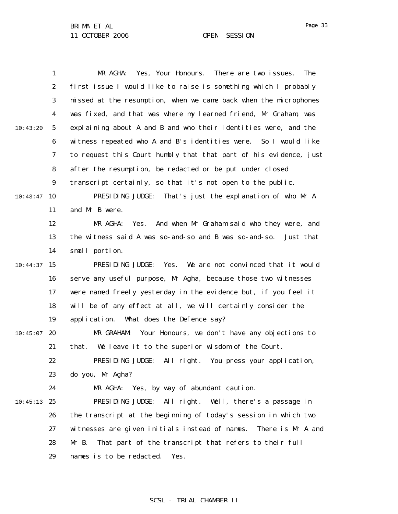|          | 1                | MR AGHA:<br>Yes, Your Honours.<br>There are two issues.<br><b>The</b> |
|----------|------------------|-----------------------------------------------------------------------|
|          | $\boldsymbol{2}$ | first issue I would like to raise is something which I probably       |
|          | 3                | missed at the resumption, when we came back when the microphones      |
|          | 4                | was fixed, and that was where my learned friend, Mr Graham, was       |
| 10:43:20 | 5                | explaining about A and B and who their identities were, and the       |
|          | $\boldsymbol{6}$ | witness repeated who A and B's identities were. So I would like       |
|          | 7                | to request this Court humbly that that part of his evidence, just     |
|          | 8                | after the resumption, be redacted or be put under closed              |
|          | $\boldsymbol{9}$ | transcript certainly, so that it's not open to the public.            |
| 10:43:47 | 10               | PRESIDING JUDGE:<br>That's just the explanation of who Mr A           |
|          | 11               | and Mr B were.                                                        |
|          | 12               | MR AGHA:<br>Yes.<br>And when Mr Graham said who they were, and        |
|          | 13               | the witness said A was so- and-so and B was so- and-so.<br>Just that  |
|          | 14               | small portion.                                                        |
| 10:44:37 | 15               | We are not convinced that it would<br>PRESIDING JUDGE:<br>Yes.        |
|          | 16               | serve any useful purpose, Mr Agha, because those two witnesses        |
|          | 17               | were named freely yesterday in the evidence but, if you feel it       |
|          | 18               | will be of any effect at all, we will certainly consider the          |
|          | 19               | What does the Defence say?<br>application.                            |
| 10:45:07 | 20               | MR GRAHAM:<br>Your Honours, we don't have any objections to           |
|          | 21               | We leave it to the superior wisdom of the Court.<br>that.             |
|          | 22               | PRESIDING JUDGE: All right. You press your application,               |
|          | 23               | do you, Mr Agha?                                                      |
|          | 24               | Yes, by way of abundant caution.<br>MR AGHA:                          |
| 10:45:13 | 25               | PRESIDING JUDGE:<br>All right. Well, there's a passage in             |
|          | 26               | the transcript at the beginning of today's session in which two       |
|          | 27               | witnesses are given initials instead of names.<br>There is Mr A and   |
|          | 28               | That part of the transcript that refers to their full<br>$Mr$ B.      |
|          | 29               | names is to be redacted.<br>Yes.                                      |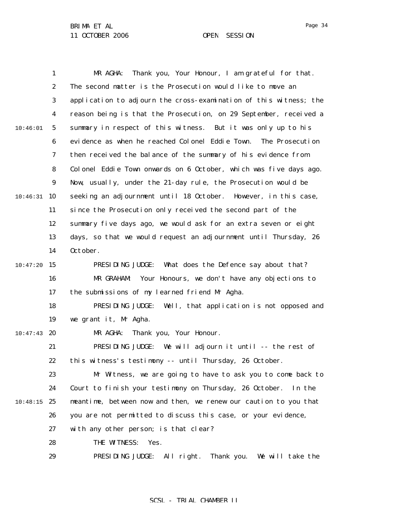|          | $\mathbf{1}$     | Thank you, Your Honour, I am grateful for that.<br>MR AGHA:        |
|----------|------------------|--------------------------------------------------------------------|
|          | $\boldsymbol{2}$ | The second matter is the Prosecution would like to move an         |
|          | 3                | application to adjourn the cross-examination of this witness; the  |
|          | $\boldsymbol{4}$ | reason being is that the Prosecution, on 29 September, received a  |
| 10:46:01 | $5\phantom{.0}$  | summary in respect of this witness. But it was only up to his      |
|          | 6                | evidence as when he reached Colonel Eddie Town.<br>The Prosecution |
|          | 7                | then received the balance of the summary of his evidence from      |
|          | 8                | Colonel Eddie Town onwards on 6 October, which was five days ago.  |
|          | $\boldsymbol{9}$ | Now, usually, under the 21-day rule, the Prosecution would be      |
| 10:46:31 | 10               | seeking an adjournment until 18 October. However, in this case,    |
|          | 11               | since the Prosecution only received the second part of the         |
|          | 12               | summary five days ago, we would ask for an extra seven or eight    |
|          | 13               | days, so that we would request an adjournment until Thursday, 26   |
|          | 14               | October.                                                           |
| 10:47:20 | 15               | PRESIDING JUDGE:<br>What does the Defence say about that?          |
|          | 16               | MR GRAHAM:<br>Your Honours, we don't have any objections to        |
|          | 17               | the submissions of my learned friend Mr Agha.                      |
|          | 18               | PRESIDING JUDGE:<br>Well, that application is not opposed and      |
|          | 19               | we grant it, Mr Agha.                                              |
| 10:47:43 | 20               | MR AGHA:<br>Thank you, Your Honour.                                |
|          | 21               | PRESIDING JUDGE:<br>We will adjourn it until -- the rest of        |
|          | 22               | this witness's testimony -- until Thursday, 26 October.            |
|          | 23               | Mr Witness, we are going to have to ask you to come back to        |
|          | 24               | Court to finish your testimony on Thursday, 26 October.<br>In the  |
| 10:48:15 | 25               | meantime, between now and then, we renew our caution to you that   |
|          | 26               | you are not permitted to discuss this case, or your evidence,      |
|          | 27               | with any other person; is that clear?                              |
|          | 28               | THE WITNESS:<br>Yes.                                               |
|          | 29               | PRESIDING JUDGE:<br>All right.<br>Thank you.<br>We will take the   |

SCSL - TRIAL CHAMBER II

Page 34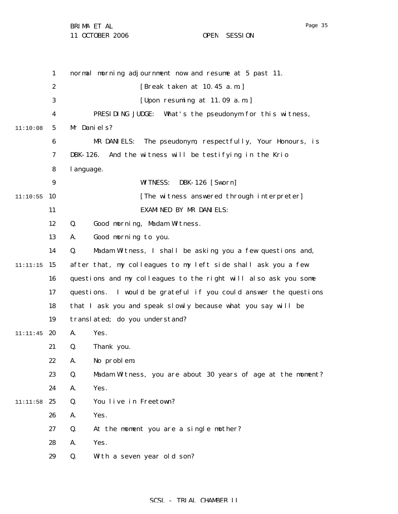11 OCTOBER 2006 OPEN SESSION

|          | $\mathbf{1}$     | normal morning adjournment now and resume at 5 past 11.           |
|----------|------------------|-------------------------------------------------------------------|
|          | $\boldsymbol{2}$ | [Break taken at 10.45 a.m.]                                       |
|          | 3                | [Upon resuming at 11.09 a.m.]                                     |
|          | $\boldsymbol{4}$ | PRESIDING JUDGE:<br>What's the pseudonym for this witness,        |
| 11:10:08 | 5                | Mr Daniels?                                                       |
|          | $\boldsymbol{6}$ | The pseudonym, respectfully, Your Honours, is<br>MR DANIELS:      |
|          | 7                | And the witness will be testifying in the Krio<br>DBK-126.        |
|          | 8                | l anguage.                                                        |
|          | 9                | <b>WITNESS:</b><br><b>DBK-126</b> [Sworn]                         |
| 11:10:55 | 10               | [The witness answered through interpreter]                        |
|          | 11               | <b>EXAMINED BY MR DANIELS:</b>                                    |
|          | 12               | Good morning, Madam Witness.<br>Q.                                |
|          | 13               | Good morning to you.<br>A.                                        |
|          | 14               | Q.<br>Madam Witness, I shall be asking you a few questions and,   |
| 11:11:15 | 15               | after that, my colleagues to my left side shall ask you a few     |
|          | 16               | questions and my colleagues to the right will also ask you some   |
|          | 17               | questions. I would be grateful if you could answer the questions  |
|          | 18               | that I ask you and speak slowly because what you say will be      |
|          | 19               | translated; do you understand?                                    |
| 11:11:45 | 20               | A.<br>Yes.                                                        |
|          | 21               | Thank you.<br>Q.                                                  |
|          | 22               | No problem.<br>A.                                                 |
|          | 23               | Madam Witness, you are about 30 years of age at the moment?<br>Q. |
|          | 24               | Yes.<br>A.                                                        |
| 11:11:58 | 25               | You live in Freetown?<br>Q.                                       |
|          | 26               | A.<br>Yes.                                                        |
|          | 27               | At the moment you are a single mother?<br>Q.                      |
|          | 28               | Yes.<br>A.                                                        |
|          | 29               | With a seven year old son?<br>Q.                                  |
|          |                  |                                                                   |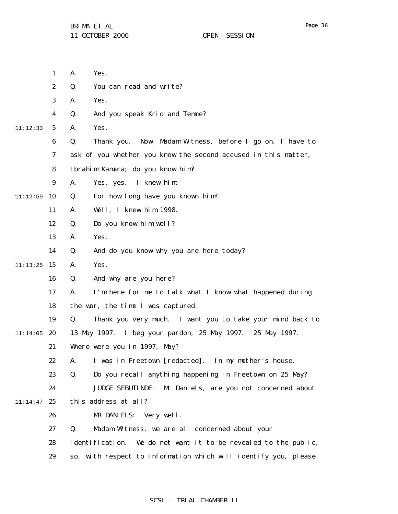|          | 1                | A.<br>Yes.                                                             |
|----------|------------------|------------------------------------------------------------------------|
|          | $\boldsymbol{2}$ | You can read and write?<br>Q.                                          |
|          | 3                | Yes.<br>A.                                                             |
|          | 4                | And you speak Krio and Temne?<br>Q.                                    |
| 11:12:33 | $5\overline{)}$  | Yes.<br>A.                                                             |
|          | 6                | Thank you. Now, Madam Witness, before I go on, I have to<br>Q.         |
|          | 7                | ask of you whether you know the second accused in this matter,         |
|          | 8                | Ibrahim Kamara; do you know him?                                       |
|          | 9                | Yes, yes. I knew him.<br>A.                                            |
| 11:12:59 | 10               | For how long have you known him?<br>Q.                                 |
|          | 11               | Well, I knew him 1998.<br>A.                                           |
|          | 12               | Do you know him well?<br>Q.                                            |
|          | 13               | Yes.<br>A.                                                             |
|          | 14               | And do you know why you are here today?<br>Q.                          |
| 11:13:25 | 15               | Yes.<br>A.                                                             |
|          | 16               | And why are you here?<br>Q.                                            |
|          | 17               | I'm here for me to talk what I know what happened during<br>A.         |
|          | 18               | the war, the time I was captured.                                      |
|          | 19               | Thank you very much. I want you to take your mind back to<br>Q.        |
| 11:14:05 | 20               | 13 May 1997. I beg your pardon, 25 May 1997. 25 May 1997.              |
|          | 21               | Where were you in 1997, May?                                           |
|          | 22               | A. I was in Freetown [redacted]. In my mother's house.                 |
|          | 23               | Do you recall anything happening in Freetown on 25 May?<br>Q.          |
|          | 24               | <b>JUDGE SEBUTINDE:</b><br>Mr Daniels, are you not concerned about     |
| 11:14:47 | 25               | this address at all?                                                   |
|          | 26               | MR DANIELS:<br>Very well.                                              |
|          | 27               | Madam Witness, we are all concerned about your<br>Q.                   |
|          | 28               | i denti fi cati on.<br>We do not want it to be revealed to the public, |
|          | 29               | so, with respect to information which will identify you, please        |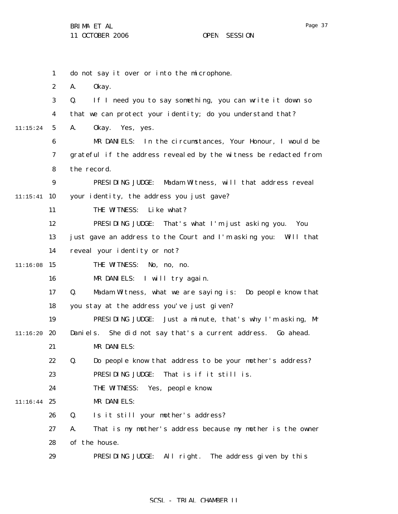|          | $\mathbf{1}$     | do not say it over or into the microphone.                       |
|----------|------------------|------------------------------------------------------------------|
|          | $\boldsymbol{2}$ | A.<br>0kay.                                                      |
|          | 3                | If I need you to say something, you can write it down so<br>Q.   |
|          | $\boldsymbol{4}$ | that we can protect your identity; do you understand that?       |
| 11:15:24 | $5\phantom{.0}$  | A.<br>0kay.<br>Yes, yes.                                         |
|          | 6                | MR DANIELS: In the circumstances, Your Honour, I would be        |
|          | 7                | grateful if the address revealed by the witness be redacted from |
|          | 8                | the record.                                                      |
|          | 9                | PRESIDING JUDGE:<br>Madam Witness, will that address reveal      |
| 11:15:41 | 10               | your identity, the address you just gave?                        |
|          | 11               | THE WITNESS:<br>Like what?                                       |
|          | 12               | PRESIDING JUDGE:<br>That's what I'm just asking you.<br>You      |
|          | 13               | just gave an address to the Court and I'm asking you: Will that  |
|          | 14               | reveal your identity or not?                                     |
| 11:16:08 | 15               | THE WITNESS:<br>No, no, no.                                      |
|          | 16               | MR DANIELS: I will try again.                                    |
|          | 17               | Madam Witness, what we are saying is: Do people know that<br>Q.  |
|          | 18               | you stay at the address you've just given?                       |
|          | 19               | PRESIDING JUDGE:<br>Just a minute, that's why I'm asking, Mr     |
| 11:16:20 | 20               | She did not say that's a current address. Go ahead.<br>Daniels.  |
|          | 21               | MR DANIELS:                                                      |
|          | 22               | Do people know that address to be your mother's address?<br>Q.   |
|          | 23               | PRESIDING JUDGE:<br>That is if it still is.                      |
|          | 24               | THE WITNESS:<br>Yes, people know.                                |
| 11:16:44 | 25               | MR DANIELS:                                                      |
|          | 26               | Q.<br>Is it still your mother's address?                         |
|          | 27               | That is my mother's address because my mother is the owner<br>A. |
|          | 28               | of the house.                                                    |
|          | 29               | PRESIDING JUDGE:<br>All right.<br>The address given by this      |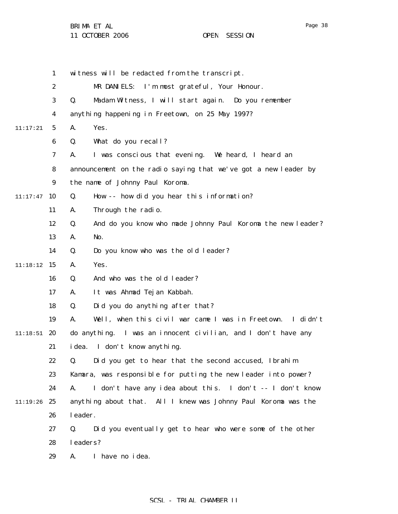|          | $\mathbf{1}$     | witness will be redacted from the transcript.                     |
|----------|------------------|-------------------------------------------------------------------|
|          | $\boldsymbol{2}$ | MR DANIELS: I'm most grateful, Your Honour.                       |
|          | 3                | Madam Witness, I will start again. Do you remember<br>Q.          |
|          | 4                | anything happening in Freetown, on 25 May 1997?                   |
| 11:17:21 | 5                | Yes.<br>A.                                                        |
|          | 6                | What do you recall?<br>Q.                                         |
|          | 7                | I was conscious that evening. We heard, I heard an<br>A.          |
|          | 8                | announcement on the radio saying that we've got a new leader by   |
|          | $\boldsymbol{9}$ | the name of Johnny Paul Koroma.                                   |
| 11:17:47 | 10               | How -- how did you hear this information?<br>Q.                   |
|          | 11               | Through the radio.<br>A.                                          |
|          | 12               | And do you know who made Johnny Paul Koroma the new leader?<br>Q. |
|          | 13               | No.<br>A.                                                         |
|          | 14               | Do you know who was the old leader?<br>Q.                         |
| 11:18:12 | 15               | Yes.<br>A.                                                        |
|          | 16               | And who was the old leader?<br>Q.                                 |
|          | 17               | It was Ahmad Tejan Kabbah.<br>A.                                  |
|          | 18               | Did you do anything after that?<br>Q.                             |
|          | 19               | Well, when this civil war came I was in Freetown. I didn't<br>A.  |
| 11:18:51 | 20               | do anything. I was an innocent civilian, and I don't have any     |
|          | 21               | idea. I don't know anything.                                      |
|          | 22               | Q. Did you get to hear that the second accused, Ibrahim           |
|          | 23               | Kamara, was responsible for putting the new leader into power?    |
|          | 24               | I don't have any idea about this. I don't -- I don't know<br>A.   |
| 11:19:26 | 25               | anything about that. All I knew was Johnny Paul Koroma was the    |
|          | 26               | leader.                                                           |
|          | 27               | Did you eventually get to hear who were some of the other<br>Q.   |
|          | 28               | leaders?                                                          |
|          | 29               | I have no idea.<br>A.                                             |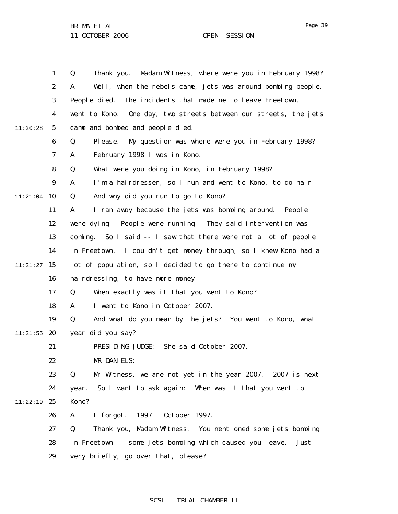|          | $\mathbf{1}$     | Madam Witness, where were you in February 1998?<br>Q.<br>Thank you. |
|----------|------------------|---------------------------------------------------------------------|
|          | $\boldsymbol{2}$ | Well, when the rebels came, jets was around bombing people.<br>A.   |
|          | 3                | People died.<br>The incidents that made me to leave Freetown, I     |
|          | 4                | went to Kono. One day, two streets between our streets, the jets    |
| 11:20:28 | 5                | came and bombed and people died.                                    |
|          | $\boldsymbol{6}$ | My question was where were you in February 1998?<br>Q.<br>Pl ease.  |
|          | 7                | February 1998 I was in Kono.<br>A.                                  |
|          | 8                | What were you doing in Kono, in February 1998?<br>Q.                |
|          | $\boldsymbol{9}$ | I'm a hairdresser, so I run and went to Kono, to do hair.<br>A.     |
| 11:21:04 | 10               | And why did you run to go to Kono?<br>Q.                            |
|          | 11               | I ran away because the jets was bombing around. People<br>A.        |
|          | 12               | were dying. People were running. They said intervention was         |
|          | 13               | coming. So I said -- I saw that there were not a lot of people      |
|          | 14               | in Freetown. I couldn't get money through, so I knew Kono had a     |
| 11:21:27 | 15               | lot of population, so I decided to go there to continue my          |
|          | 16               | hairdressing, to have more money.                                   |
|          | 17               | Q.<br>When exactly was it that you went to Kono?                    |
|          | 18               | I went to Kono in October 2007.<br>A.                               |
|          | 19               | And what do you mean by the jets? You went to Kono, what<br>Q.      |
| 11:21:55 | 20               | year did you say?                                                   |
|          | 21               | PRESIDING JUDGE:<br>She said October 2007.                          |
|          | 22               | MR DANIELS:                                                         |
|          | 23               | Mr Witness, we are not yet in the year 2007. 2007 is next<br>Q.     |
|          | 24               | So I want to ask again: When was it that you went to<br>year.       |
| 11:22:19 | 25               | Kono?                                                               |
|          | 26               | A.<br>I forgot.<br>1997.<br>October 1997.                           |
|          | 27               | Q.<br>Thank you, Madam Witness. You mentioned some jets bombing     |
|          | 28               | in Freetown -- some jets bombing which caused you leave.<br>Just    |
|          | 29               | very briefly, go over that, please?                                 |

# SCSL - TRIAL CHAMBER II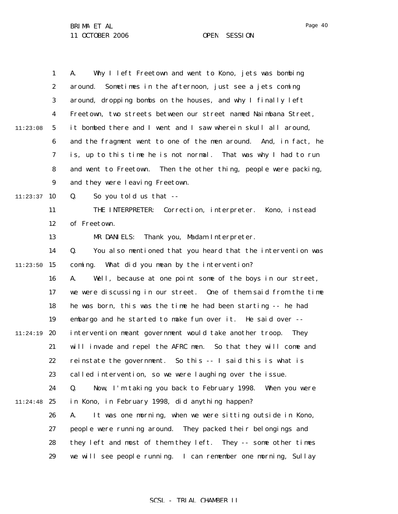|          | $\mathbf{1}$     | Why I left Freetown and went to Kono, jets was bombing<br>A.        |
|----------|------------------|---------------------------------------------------------------------|
|          | $\boldsymbol{2}$ | Sometimes in the afternoon, just see a jets coming<br>around.       |
|          | 3                | around, dropping bombs on the houses, and why I finally left        |
|          | $\boldsymbol{4}$ | Freetown, two streets between our street named Naimbana Street,     |
| 11:23:08 | $5\phantom{.0}$  | it bombed there and I went and I saw wherein skull all around,      |
|          | $\boldsymbol{6}$ | and the fragment went to one of the men around. And, in fact, he    |
|          | 7                | is, up to this time he is not normal. That was why I had to run     |
|          | 8                | and went to Freetown.<br>Then the other thing, people were packing, |
|          | 9                | and they were leaving Freetown.                                     |
| 11:23:37 | 10               | Q.<br>So you told us that --                                        |
|          | 11               | THE INTERPRETER:<br>Correction, interpreter. Kono, instead          |
|          | 12               | of Freetown.                                                        |
|          | 13               | MR DANIELS: Thank you, Madam Interpreter.                           |
|          | 14               | You also mentioned that you heard that the intervention was<br>Q.   |
| 11:23:50 | 15               | coming. What did you mean by the intervention?                      |
|          | 16               | Well, because at one point some of the boys in our street,<br>A.    |
|          | 17               | we were discussing in our street. One of them said from the time    |
|          | 18               | he was born, this was the time he had been starting -- he had       |
|          | 19               | embargo and he started to make fun over it. He said over --         |
| 11:24:19 | 20               | intervention meant government would take another troop.<br>They     |
|          | 21               | will invade and repel the AFRC men. So that they will come and      |
|          | 22               | reinstate the government. So this -- I said this is what is         |
|          | 23               | called intervention, so we were laughing over the issue.            |
|          | 24               | Q.<br>Now, I'm taking you back to February 1998. When you were      |
| 11:24:48 | 25               | in Kono, in February 1998, did anything happen?                     |
|          | 26               | It was one morning, when we were sitting outside in Kono,<br>A.     |
|          | 27               | people were running around. They packed their belongings and        |
|          | 28               | they left and most of them they left. They -- some other times      |
|          | 29               | we will see people running. I can remember one morning, Sullay      |

Page 40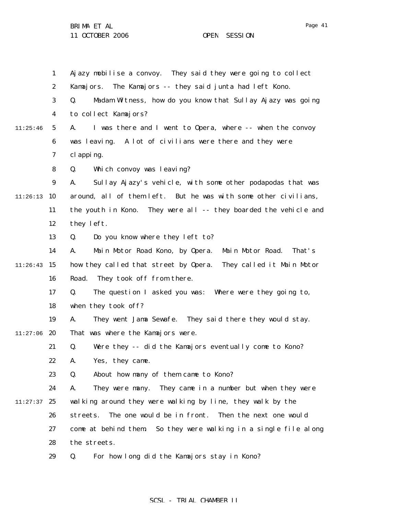|          | 1                | Ajazy mobilise a convoy. They said they were going to collect       |
|----------|------------------|---------------------------------------------------------------------|
|          | $\boldsymbol{2}$ | The Kamajors -- they said junta had left Kono.<br>Kamajors.         |
|          | 3                | Madam Witness, how do you know that Sullay Ajazy was going<br>Q.    |
|          | 4                | to collect Kamajors?                                                |
| 11:25:46 | 5                | I was there and I went to Opera, where -- when the convoy<br>A.     |
|          | $\boldsymbol{6}$ | was leaving. A lot of civilians were there and they were            |
|          | 7                | cl apping.                                                          |
|          | 8                | Which convoy was leaving?<br>Q.                                     |
|          | $\boldsymbol{9}$ | Sullay Ajazy's vehicle, with some other podapodas that was<br>A.    |
| 11:26:13 | 10               | around, all of them left. But he was with some other civilians,     |
|          | 11               | the youth in Kono. They were all -- they boarded the vehicle and    |
|          | 12               | they left.                                                          |
|          | 13               | Q.<br>Do you know where they left to?                               |
|          | 14               | Main Motor Road.<br>Main Motor Road Kono, by Opera.<br>That's<br>A. |
| 11:26:43 | 15               | how they called that street by Opera.<br>They called it Main Motor  |
|          | 16               | They took off from there.<br>Road.                                  |
|          | 17               | The question I asked you was: Where were they going to,<br>Q.       |
|          | 18               | when they took off?                                                 |
|          | 19               | They went Jama Sewafe. They said there they would stay.<br>A.       |
| 11:27:06 | 20               | That was where the Kamajors were.                                   |
|          | 21               | Were they -- did the Kamajors eventually come to Kono?<br>Q.        |
|          | 22               | Yes, they came.<br>А.                                               |
|          | 23               | About how many of them came to Kono?<br>Q.                          |
|          | 24               | They were many. They came in a number but when they were<br>A.      |
| 11:27:37 | 25               | walking around they were walking by line, they walk by the          |
|          | 26               | The one would be in front.<br>Then the next one would<br>streets.   |
|          | 27               | So they were walking in a single file along<br>come at behind them. |
|          | 28               | the streets.                                                        |
|          | 29               | For how long did the Kamajors stay in Kono?<br>Q.                   |

## SCSL - TRIAL CHAMBER II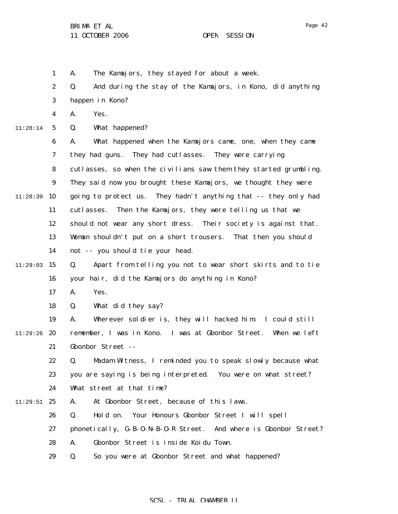2

1 A. The Kamajors, they stayed for about a week.

Q. And during the stay of the Kamajors, in Kono, did anything

|          | 3                | happen in Kono?                                                   |
|----------|------------------|-------------------------------------------------------------------|
|          | 4                | Yes.<br>A.                                                        |
| 11:28:14 | $5\phantom{.0}$  | What happened?<br>Q.                                              |
|          | $\boldsymbol{6}$ | What happened when the Kamajors came, one, when they came<br>A.   |
|          | 7                | they had guns.<br>They had cutlasses.<br>They were carrying       |
|          | 8                | cutlasses, so when the civilians saw them they started grumbling. |
|          | $\boldsymbol{9}$ | They said now you brought these Kamajors, we thought they were    |
| 11:28:39 | 10               | going to protect us. They hadn't anything that -- they only had   |
|          | 11               | Then the Kamajors, they were telling us that we<br>cutlasses.     |
|          | 12               | should not wear any short dress. Their society is against that.   |
|          | 13               | Woman shouldn't put on a short trousers. That then you should     |
|          | 14               | not -- you should tie your head.                                  |
| 11:29:03 | 15               | Apart from telling you not to wear short skirts and to tie<br>Q.  |
|          | 16               | your hair, did the Kamajors do anything in Kono?                  |
|          | 17               | Yes.<br>A.                                                        |
|          | 18               | What did they say?<br>Q.                                          |
|          | 19               | Wherever soldier is, they will hacked him. I could still<br>A.    |
| 11:29:26 | 20               | remember, I was in Kono. I was at Gbonbor Street. When we left    |
|          | 21               | Gbonbor Street --                                                 |
|          | 22               | Madam Witness, I reminded you to speak slowly because what<br>Q.  |
|          | 23               | you are saying is being interpreted. You were on what street?     |
|          | 24               | What street at that time?                                         |
| 11:29:51 | 25               | At Gbonbor Street, because of this laws.<br>A.                    |
|          | 26               | Hold on.<br>Your Honours Gbonbor Street I will spell<br>Q.        |
|          | 27               | phonetically, G-B-O-N-B-O-R Street. And where is Gbonbor Street?  |
|          | 28               | A.<br>Gbonbor Street is inside Koidu Town.                        |
|          | 29               | Q.<br>So you were at Gbonbor Street and what happened?            |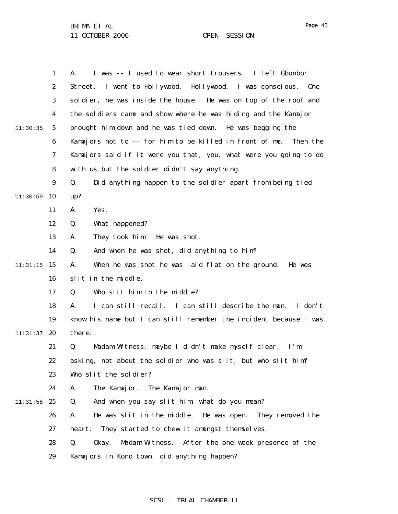1 2 3 4 5 6 7 8 9  $11:30:59$  10 11 12 13 14  $11:31:15$  15 16 17 18 19  $11:31:37$  20 21 22 23 24 11:31:58 25 26 27 28 29 11:30:35 A. I was -- I used to wear short trousers. I left Gbonbor Street. I went to Hollywood. Hollywood. I was conscious. One soldier, he was inside the house. He was on top of the roof and the soldiers came and show where he was hiding and the Kamajor brought him down and he was tied down. He was begging the Kamajors not to -- for him to be killed in front of me. Then the Kamajors said if it were you that, you, what were you going to do with us but the soldier didn't say anything. Q. Did anything happen to the soldier apart from being tied up? A. Yes. Q. What happened? A. They took him. He was shot. Q. And when he was shot, did anything to him? A. When he was shot he was laid flat on the ground. He was slit in the middle. Q. Who slit him in the middle? A. I can still recall. I can still describe the man. I don't know his name but I can still remember the incident because I was there. Q. Madam Witness, maybe I didn't make myself clear. I'm asking, not about the soldier who was slit, but who slit him? Who slit the soldier? A. The Kamajor. The Kamajor man. Q. And when you say slit him, what do you mean? A. He was slit in the middle. He was open. They removed the heart. They started to chew it amongst themselves. Q. Okay. Madam Witness. After the one-week presence of the Kamajors in Kono town, did anything happen?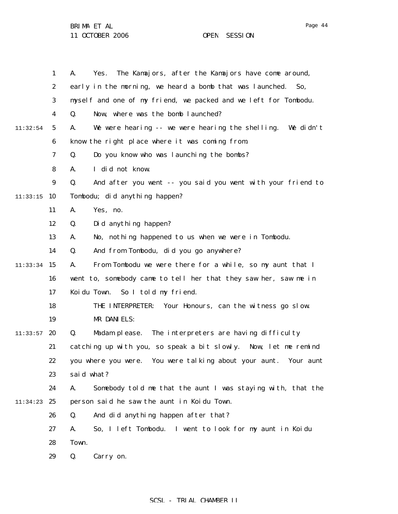|          | $\mathbf{1}$     | The Kamajors, after the Kamajors have come around,<br>A.<br>Yes.  |
|----------|------------------|-------------------------------------------------------------------|
|          | $\boldsymbol{2}$ | early in the morning, we heard a bomb that was launched.<br>So,   |
|          | 3                | myself and one of my friend, we packed and we left for Tombodu.   |
|          | 4                | Now, where was the bomb launched?<br>Q.                           |
| 11:32:54 | 5                | We were hearing -- we were hearing the shelling. We didn't<br>A.  |
|          | 6                | know the right place where it was coming from.                    |
|          | 7                | Do you know who was launching the bombs?<br>Q.                    |
|          | 8                | I did not know.<br>A.                                             |
|          | $\boldsymbol{9}$ | Q.<br>And after you went -- you said you went with your friend to |
| 11:33:15 | 10               | Tombodu; did anything happen?                                     |
|          | 11               | Yes, no.<br>A.                                                    |
|          | 12               | Did anything happen?<br>Q.                                        |
|          | 13               | No, nothing happened to us when we were in Tombodu.<br>A.         |
|          | 14               | Q.<br>And from Tombodu, did you go anywhere?                      |
| 11:33:34 | 15               | From Tombodu we were there for a while, so my aunt that I<br>A.   |
|          | 16               | went to, somebody came to tell her that they saw her, saw me in   |
|          | 17               | So I told my friend.<br>Koi du Town.                              |
|          | 18               | THE INTERPRETER:<br>Your Honours, can the witness go slow.        |
|          | 19               | MR DANIELS:                                                       |
| 11:33:57 | 20               | Q.<br>Madam please. The interpreters are having difficulty        |
|          | 21               | catching up with you, so speak a bit slowly. Now, let me remind   |
|          | 22               | you where you were. You were talking about your aunt. Your aunt   |
|          | 23               | said what?                                                        |
|          | 24               | Somebody told me that the aunt I was staying with, that the<br>A. |
| 11:34:23 | 25               | person said he saw the aunt in Koidu Town.                        |
|          | 26               | And did anything happen after that?<br>Q.                         |
|          | 27               | So, I left Tombodu. I went to look for my aunt in Koidu<br>A.     |
|          | 28               | Town.                                                             |
|          | 29               | Q.<br>Carry on.                                                   |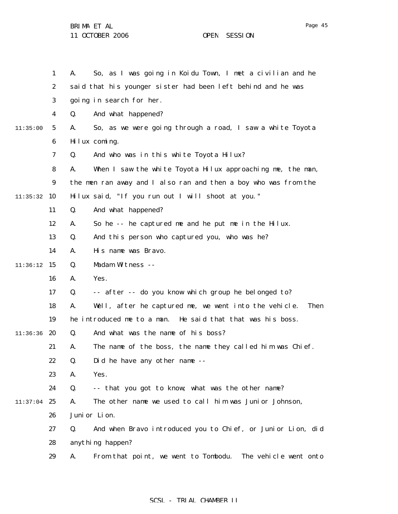|          | $\mathbf{1}$     | So, as I was going in Koidu Town, I met a civilian and he<br>A.            |
|----------|------------------|----------------------------------------------------------------------------|
|          | $\boldsymbol{2}$ | said that his younger sister had been left behind and he was               |
|          | 3                | going in search for her.                                                   |
|          | 4                | Q.<br>And what happened?                                                   |
| 11:35:00 | $5\phantom{.0}$  | So, as we were going through a road, I saw a white Toyota<br>A.            |
|          | 6                | Hilux coming.                                                              |
|          | 7                | And who was in this white Toyota Hilux?<br>Q.                              |
|          | 8                | When I saw the white Toyota Hilux approaching me, the man,<br>A.           |
|          | $\boldsymbol{9}$ | the men ran away and I also ran and then a boy who was from the            |
| 11:35:32 | 10               | Hilux said, "If you run out I will shoot at you."                          |
|          | 11               | Q.<br>And what happened?                                                   |
|          | 12               | So he -- he captured me and he put me in the Hilux.<br>A.                  |
|          | 13               | Q.<br>And this person who captured you, who was he?                        |
|          | 14               | His name was Bravo.<br>A.                                                  |
| 11:36:12 | 15               | Madam Witness --<br>Q.                                                     |
|          | 16               | Yes.<br>A.                                                                 |
|          | 17               | -- after -- do you know which group he belonged to?<br>Q.                  |
|          | 18               | Well, after he captured me, we went into the vehicle.<br>A.<br><b>Then</b> |
|          | 19               | he introduced me to a man. He said that that was his boss.                 |
| 11:36:36 | 20               | And what was the name of his boss?<br>Q.                                   |
|          | 21               | The name of the boss, the name they called him was Chief.<br>A.            |
|          | 22               | Did he have any other name --<br>Q.                                        |
|          | 23               | Yes.<br>A.                                                                 |
|          | 24               | -- that you got to know; what was the other name?<br>Q.                    |
| 11:37:04 | 25               | The other name we used to call him was Junior Johnson,<br>A.               |
|          | 26               | Juni or Lion.                                                              |
|          | 27               | Q.<br>And when Bravo introduced you to Chief, or Junior Lion, did          |
|          | 28               | anything happen?                                                           |
|          | 29               | From that point, we went to Tombodu.<br>The vehicle went onto<br>A.        |

## SCSL - TRIAL CHAMBER II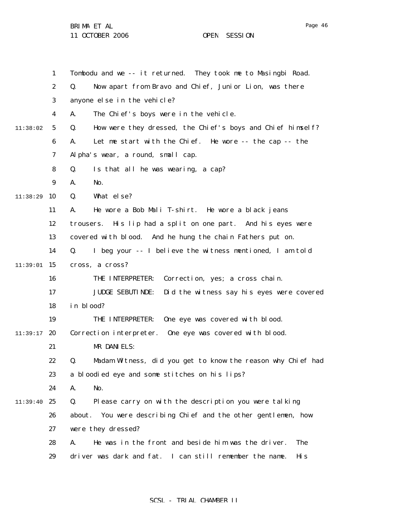11 OCTOBER 2006 OPEN SESSION

1 2 3 4 5 6 7 8 9  $11:38:29$  10 11 12 13 14  $11:39:01$  15 16 17 18 19  $11:39:17$  20 21 22 23 24 11:39:40 25 26 27 28 29 11:38:02 Tombodu and we -- it returned. They took me to Masingbi Road. Q. Now apart from Bravo and Chief, Junior Lion, was there anyone else in the vehicle? A. The Chief's boys were in the vehicle. Q. How were they dressed, the Chief's boys and Chief himself? A. Let me start with the Chief. He wore -- the cap -- the Alpha's wear, a round, small cap. Q. Is that all he was wearing, a cap? A. No. Q. What else? A. He wore a Bob Mali T-shirt. He wore a black jeans trousers. His lip had a split on one part. And his eyes were covered with blood. And he hung the chain Fathers put on. Q. I beg your -- I believe the witness mentioned, I am told cross, a cross? THE INTERPRETER: Correction, yes; a cross chain. JUDGE SEBUTINDE: Did the witness say his eyes were covered in blood? THE INTERPRETER: One eye was covered with blood. Correction interpreter. One eye was covered with blood. MR DANIELS: Q. Madam Witness, did you get to know the reason why Chief had a bloodied eye and some stitches on his lips? A. No. Q. Please carry on with the description you were talking about. You were describing Chief and the other gentlemen, how were they dressed? A. He was in the front and beside him was the driver. The driver was dark and fat. I can still remember the name. His

#### SCSL - TRIAL CHAMBER II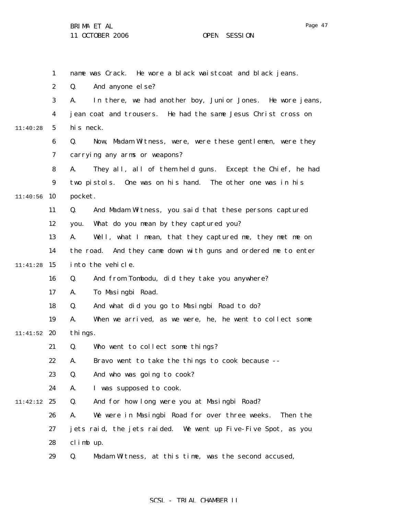|          | $\mathbf{1}$     | name was Crack. He wore a black waistcoat and black jeans.       |
|----------|------------------|------------------------------------------------------------------|
|          | $\boldsymbol{2}$ | And anyone else?<br>Q.                                           |
|          | 3                | In there, we had another boy, Junior Jones. He wore jeans,<br>A. |
|          | 4                | jean coat and trousers. He had the same Jesus Christ cross on    |
| 11:40:28 | $5\phantom{.0}$  | his neck.                                                        |
|          | 6                | Now, Madam Witness, were, were these gentlemen, were they<br>Q.  |
|          | 7                | carrying any arms or weapons?                                    |
|          | 8                | They all, all of them held guns. Except the Chief, he had<br>A.  |
|          | $\boldsymbol{9}$ | One was on his hand. The other one was in his<br>two pistols.    |
| 11:40:56 | 10               | pocket.                                                          |
|          | 11               | And Madam Witness, you said that these persons captured<br>Q.    |
|          | 12               | What do you mean by they captured you?<br>you.                   |
|          | 13               | A.<br>Well, what I mean, that they captured me, they met me on   |
|          | 14               | the road. And they came down with guns and ordered me to enter   |
| 11:41:28 | 15               | into the vehicle.                                                |
|          | 16               | And from Tombodu, did they take you anywhere?<br>Q.              |
|          | 17               | To Masingbi Road.<br>A.                                          |
|          | 18               | And what did you go to Masingbi Road to do?<br>Q.                |
|          | 19               | When we arrived, as we were, he, he went to collect some<br>A.   |
| 11:41:52 | 20               | thi ngs.                                                         |
|          | 21               | Who went to collect some things?<br>Q.                           |
|          | 22               | Bravo went to take the things to cook because --<br>А.           |
|          | 23               | And who was going to cook?<br>Q.                                 |
|          | 24               | I was supposed to cook.<br>A.                                    |
| 11:42:12 | 25               | And for how long were you at Masingbi Road?<br>Q.                |
|          | 26               | We were in Masingbi Road for over three weeks.<br>Then the<br>A. |
|          | 27               | jets raid, the jets raided. We went up Five-Five Spot, as you    |
|          | 28               | climb up.                                                        |
|          | 29               | Madam Witness, at this time, was the second accused,<br>Q.       |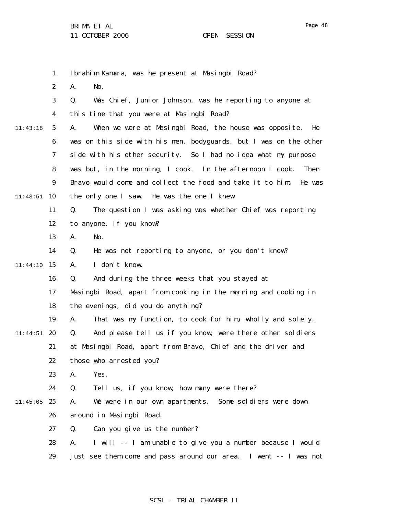1 2 3 4 5 6 7 8 9  $11:43:51$  10 11 12 13 14 11:44:10 15 16 17 18 19  $11:44:51$  20 21 22 23 24  $11:45:05$  25 26 27 28 29 11:43:18 Ibrahim Kamara, was he present at Masingbi Road? A. No. Q. Was Chief, Junior Johnson, was he reporting to anyone at this time that you were at Masingbi Road? A. When we were at Masingbi Road, the house was opposite. He was on this side with his men, bodyguards, but I was on the other side with his other security. So I had no idea what my purpose was but, in the morning, I cook. In the afternoon I cook. Then Bravo would come and collect the food and take it to him. He was the only one I saw. He was the one I knew. Q. The question I was asking was whether Chief was reporting to anyone, if you know? A. No. Q. He was not reporting to anyone, or you don't know? A. I don't know. Q. And during the three weeks that you stayed at Masingbi Road, apart from cooking in the morning and cooking in the evenings, did you do anything? A. That was my function, to cook for him, wholly and solely. Q. And please tell us if you know, were there other soldiers at Masingbi Road, apart from Bravo, Chief and the driver and those who arrested you? A. Yes. Q. Tell us, if you know, how many were there? A. We were in our own apartments. Some soldiers were down around in Masingbi Road. Q. Can you give us the number? A. I will -- I am unable to give you a number because I would just see them come and pass around our area. I went -- I was not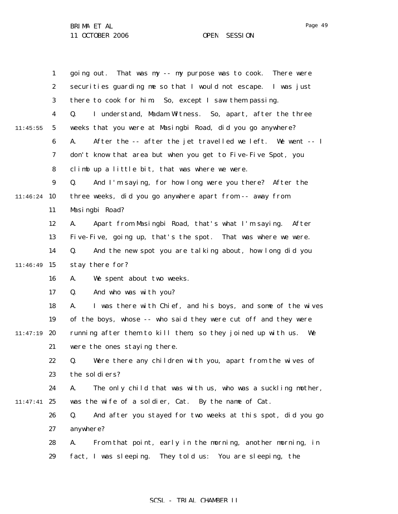1 2 3 4 5 6 7 8 9 11:46:24 10 11 12 13 14 11:46:49 15 16 17 18 19 11:47:19 20 21 22 23 24 11:47:41 25 26 27 28 29 11:45:55 going out. That was my -- my purpose was to cook. There were securities guarding me so that I would not escape. I was just there to cook for him. So, except I saw them passing. Q. I understand, Madam Witness. So, apart, after the three weeks that you were at Masingbi Road, did you go anywhere? A. After the -- after the jet travelled we left. We went -- I don't know that area but when you get to Five-Five Spot, you climb up a little bit, that was where we were. Q. And I'm saying, for how long were you there? After the three weeks, did you go anywhere apart from -- away from Masingbi Road? A. Apart from Masingbi Road, that's what I'm saying. After Five-Five, going up, that's the spot. That was where we were. Q. And the new spot you are talking about, how long did you stay there for? A. We spent about two weeks. Q. And who was with you? A. I was there with Chief, and his boys, and some of the wives of the boys, whose -- who said they were cut off and they were running after them to kill them, so they joined up with us. We were the ones staying there. Q. Were there any children with you, apart from the wives of the soldiers? A. The only child that was with us, who was a suckling mother, was the wife of a soldier, Cat. By the name of Cat. Q. And after you stayed for two weeks at this spot, did you go anywhere? A. From that point, early in the morning, another morning, in fact, I was sleeping. They told us: You are sleeping, the

#### SCSL - TRIAL CHAMBER II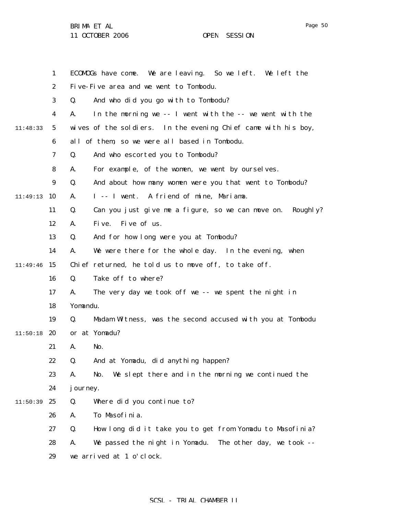11 OCTOBER 2006 OPEN SESSION

|          | $\mathbf{1}$     | ECOMOGs have come. We are leaving. So we left. We left the           |
|----------|------------------|----------------------------------------------------------------------|
|          | $\boldsymbol{2}$ | Five-Five area and we went to Tombodu.                               |
|          | 3                | And who did you go with to Tombodu?<br>Q.                            |
|          | 4                | In the morning we -- I went with the -- we went with the<br>A.       |
| 11:48:33 | 5                | wives of the soldiers. In the evening Chief came with his boy,       |
|          | 6                | all of them, so we were all based in Tombodu.                        |
|          | 7                | And who escorted you to Tombodu?<br>Q.                               |
|          | 8                | For example, of the women, we went by ourselves.<br>A.               |
|          | 9                | And about how many women were you that went to Tombodu?<br>Q.        |
| 11:49:13 | 10               | I -- I went. A friend of mine, Mariama.<br>A.                        |
|          | 11               | Can you just give me a figure, so we can move on.<br>Q.<br>Roughl y? |
|          | 12               | Five of us.<br>A.<br>Fi ve.                                          |
|          | 13               | And for how long were you at Tombodu?<br>Q.                          |
|          | 14               | We were there for the whole day. In the evening, when<br>А.          |
| 11:49:46 | 15               | Chief returned, he told us to move off, to take off.                 |
|          | 16               | Take off to where?<br>Q.                                             |
|          | 17               | The very day we took off we -- we spent the night in<br>A.           |
|          | 18               | Yomandu.                                                             |
|          | 19               | Q.<br>Madam Witness, was the second accused with you at Tombodu      |
| 11:50:18 | 20               | or at Yomadu?                                                        |
|          | 21               | No.<br>A.                                                            |
|          | 22               | And at Yomadu, did anything happen?<br>Q.                            |
|          | 23               | We slept there and in the morning we continued the<br>No.<br>A.      |
|          | 24               | j ourney.                                                            |
| 11:50:39 | 25               | Q.<br>Where did you continue to?                                     |
|          | 26               | To Masofinia.<br>A.                                                  |
|          | 27               | How long did it take you to get from Yomadu to Masofinia?<br>Q.      |
|          | 28               | We passed the night in Yomadu.<br>The other day, we took --<br>A.    |
|          | 29               | we arrived at 1 o'clock.                                             |
|          |                  |                                                                      |

# SCSL - TRIAL CHAMBER II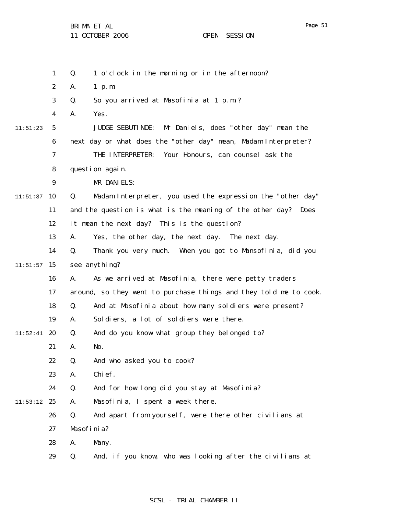|          | $\mathbf{1}$     | Q.<br>1 o'clock in the morning or in the afternoon?               |
|----------|------------------|-------------------------------------------------------------------|
|          | $\boldsymbol{2}$ | A.<br>$1$ p.m.                                                    |
|          | 3                | So you arrived at Masofinia at 1 p.m.?<br>Q.                      |
|          | 4                | Yes.<br>A.                                                        |
| 11:51:23 | $\mathbf 5$      | Mr Daniels, does "other day" mean the<br><b>JUDGE SEBUTINDE:</b>  |
|          | $\boldsymbol{6}$ | next day or what does the "other day" mean, Madam Interpreter?    |
|          | 7                | THE INTERPRETER:<br>Your Honours, can counsel ask the             |
|          | 8                | question again.                                                   |
|          | 9                | MR DANIELS:                                                       |
| 11:51:37 | 10               | Madam Interpreter, you used the expression the "other day"<br>Q.  |
|          | 11               | and the question is what is the meaning of the other day? Does    |
|          | 12               | it mean the next day? This is the question?                       |
|          | 13               | Yes, the other day, the next day. The next day.<br>A.             |
|          | 14               | Q.<br>Thank you very much. When you got to Mansofinia, did you    |
| 11:51:57 | 15               | see anything?                                                     |
|          | 16               | As we arrived at Masofinia, there were petty traders<br>A.        |
|          | 17               | around, so they went to purchase things and they told me to cook. |
|          | 18               | And at Masofinia about how many soldiers were present?<br>Q.      |
|          | 19               | Soldiers, a lot of soldiers were there.<br>A.                     |
| 11:52:41 | 20               | And do you know what group they belonged to?<br>Q.                |
|          | 21               | No.<br>A.                                                         |
|          | 22               | Q.<br>And who asked you to cook?                                  |
|          | 23               | Chi ef.<br>A.                                                     |
|          | 24               | And for how long did you stay at Masofinia?<br>Q.                 |
| 11:53:12 | 25               | Masofinia, I spent a week there.<br>A.                            |
|          | 26               | Q.<br>And apart from yourself, were there other civilians at      |
|          | 27               | Masofinia?                                                        |
|          | 28               | Many.<br>A.                                                       |
|          | 29               | And, if you know, who was looking after the civilians at<br>Q.    |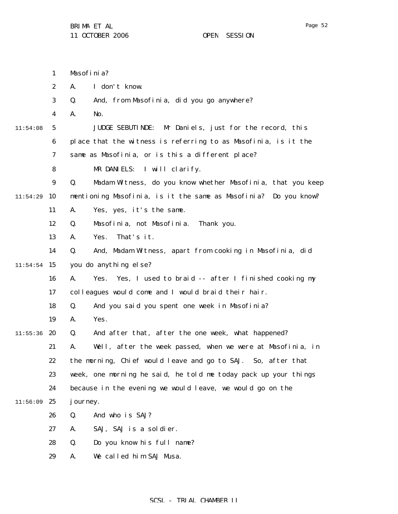|          | $\mathbf{1}$     | Masofinia?                                                        |
|----------|------------------|-------------------------------------------------------------------|
|          | $\boldsymbol{2}$ | I don't know.<br>A.                                               |
|          | 3                | And, from Masofinia, did you go anywhere?<br>Q.                   |
|          | 4                | No.<br>A.                                                         |
| 11:54:08 | 5                | <b>JUDGE SEBUTINDE:</b><br>Mr Daniels, just for the record, this  |
|          | 6                | place that the witness is referring to as Masofinia, is it the    |
|          | 7                | same as Masofinia, or is this a different place?                  |
|          | 8                | MR DANIELS: I will clarify.                                       |
|          | $\boldsymbol{9}$ | Q.<br>Madam Witness, do you know whether Masofinia, that you keep |
| 11:54:29 | 10               | mentioning Masofinia, is it the same as Masofinia? Do you know?   |
|          | 11               | A.<br>Yes, yes, it's the same.                                    |
|          | 12               | Masofinia, not Masofinia.<br>Q.<br>Thank you.                     |
|          | 13               | That's it.<br>Yes.<br>A.                                          |
|          | 14               | Q.<br>And, Madam Witness, apart from cooking in Masofinia, did    |
| 11:54:54 | 15               | you do anything else?                                             |
|          | 16               | Yes, I used to braid -- after I finished cooking my<br>A.<br>Yes. |
|          | 17               | colleagues would come and I would braid their hair.               |
|          | 18               | And you said you spent one week in Masofinia?<br>Q.               |
|          | 19               | Yes.<br>A.                                                        |
| 11:55:36 | 20               | And after that, after the one week, what happened?<br>Q.          |
|          | 21               | Well, after the week passed, when we were at Masofinia, in<br>А.  |
|          | 22               | the morning, Chief would leave and go to SAJ. So, after that      |
|          | 23               | week, one morning he said, he told me today pack up your things   |
|          | 24               | because in the evening we would leave, we would go on the         |
| 11:56:09 | 25               | j ourney.                                                         |
|          | 26               | Q.<br>And who is SAJ?                                             |
|          | 27               | SAJ, SAJ is a soldier.<br>А.                                      |
|          | 28               | Q.<br>Do you know his full name?                                  |
|          | 29               | We called him SAJ Musa.<br>A.                                     |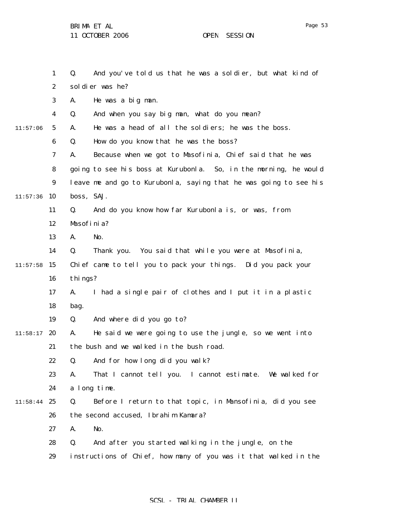1 Q. And you've told us that he was a soldier, but what kind of

Page 53

|          | $\boldsymbol{2}$ | soldier was he?                                                   |
|----------|------------------|-------------------------------------------------------------------|
|          | 3                | He was a big man.<br>A.                                           |
|          | 4                | And when you say big man, what do you mean?<br>Q.                 |
| 11:57:06 | $5\phantom{.0}$  | He was a head of all the soldiers; he was the boss.<br>A.         |
|          | $\boldsymbol{6}$ | How do you know that he was the boss?<br>Q.                       |
|          | 7                | Because when we got to Masofinia, Chief said that he was<br>A.    |
|          | 8                | going to see his boss at Kurubonla. So, in the morning, he would  |
|          | 9                | leave me and go to Kurubonla, saying that he was going to see his |
| 11:57:36 | 10               | boss, SAJ.                                                        |
|          | 11               | And do you know how far Kurubonla is, or was, from<br>Q.          |
|          | 12               | Masofinia?                                                        |
|          | 13               | A.<br>No.                                                         |
|          | 14               | Q.<br>Thank you. You said that while you were at Masofinia,       |
| 11:57:58 | 15               | Chief came to tell you to pack your things. Did you pack your     |
|          | 16               | things?                                                           |
|          | 17               | I had a single pair of clothes and I put it in a plastic<br>A.    |
|          | 18               | bag.                                                              |
|          | 19               | And where did you go to?<br>Q.                                    |
| 11:58:17 | 20               | He said we were going to use the jungle, so we went into<br>A.    |
|          | 21               | the bush and we walked in the bush road.                          |
|          | 22               | And for how long did you walk?<br>Q.                              |
|          | 23               | That I cannot tell you. I cannot estimate. We walked for<br>A.    |
|          | 24               | a long time.                                                      |
| 11:58:44 | 25               | Before I return to that topic, in Mansofinia, did you see<br>Q.   |
|          | 26               | the second accused, Ibrahim Kamara?                               |
|          | 27               | No.<br>A.                                                         |
|          | 28               | And after you started walking in the jungle, on the<br>Q.         |
|          | 29               | instructions of Chief, how many of you was it that walked in the  |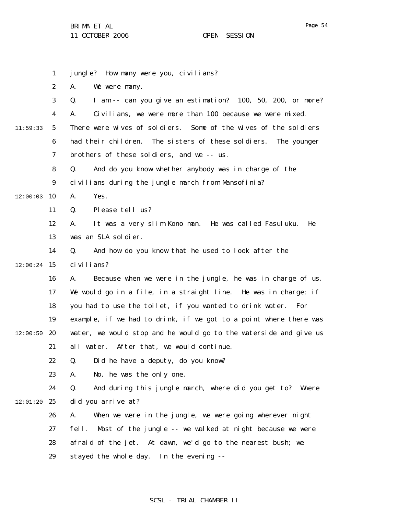1 2 3 4 5 6 7 8 9  $12:00:03$  10 11 12 13 14  $12:00:24$  15 16 17 18 19  $12:00:50$  20 21 22 23 24  $12:01:20$  25 26 27 28 29 11:59:33 jungle? How many were you, civilians? A. We were many. Q. I am -- can you give an estimation? 100, 50, 200, or more? A. Civilians, we were more than 100 because we were mixed. There were wives of soldiers. Some of the wives of the soldiers had their children. The sisters of these soldiers. The younger brothers of these soldiers, and we -- us. Q. And do you know whether anybody was in charge of the civilians during the jungle march from Mansofinia? A. Yes. Q. Please tell us? A. It was a very slim Kono man. He was called Fasuluku. He was an SLA soldier. Q. And how do you know that he used to look after the civilians? A. Because when we were in the jungle, he was in charge of us. We would go in a file, in a straight line. He was in charge; if you had to use the toilet, if you wanted to drink water. For example, if we had to drink, if we got to a point where there was water, we would stop and he would go to the waterside and give us all water. After that, we would continue. Q. Did he have a deputy, do you know? A. No, he was the only one. Q. And during this jungle march, where did you get to? Where did you arrive at? A. When we were in the jungle, we were going wherever night fell. Most of the jungle -- we walked at night because we were afraid of the jet. At dawn, we'd go to the nearest bush; we stayed the whole day. In the evening --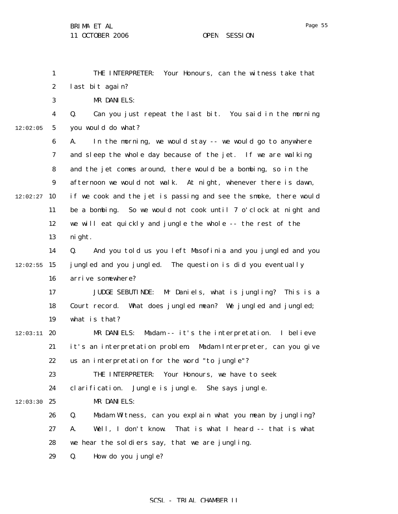1

12:02:05

THE INTERPRETER: Your Honours, can the witness take that

2 3 4 5 6 7 8 9  $12:02:27$  10 11 12 13 14  $12:02:55$  15 16 17 18 19  $12:03:11$  20 21 22 23 24  $12:03:30$  25 26 27 28 last bit again? MR DANIELS: Q. Can you just repeat the last bit. You said in the morning you would do what? A. In the morning, we would stay -- we would go to anywhere and sleep the whole day because of the jet. If we are walking and the jet comes around, there would be a bombing, so in the afternoon we would not walk. At night, whenever there is dawn, if we cook and the jet is passing and see the smoke, there would be a bombing. So we would not cook until 7 o'clock at night and we will eat quickly and jungle the whole -- the rest of the night. Q. And you told us you left Masofinia and you jungled and you jungled and you jungled. The question is did you eventually arrive somewhere? JUDGE SEBUTINDE: Mr Daniels, what is jungling? This is a Court record. What does jungled mean? We jungled and jungled; what is that? MR DANIELS: Madam -- it's the interpretation. I believe it's an interpretation problem. Madam Interpreter, can you give us an interpretation for the word "to jungle"? THE INTERPRETER: Your Honours, we have to seek clarification. Jungle is jungle. She says jungle. MR DANIELS: Q. Madam Witness, can you explain what you mean by jungling? A. Well, I don't know. That is what I heard -- that is what we hear the soldiers say, that we are jungling.

> 29 Q. How do you jungle?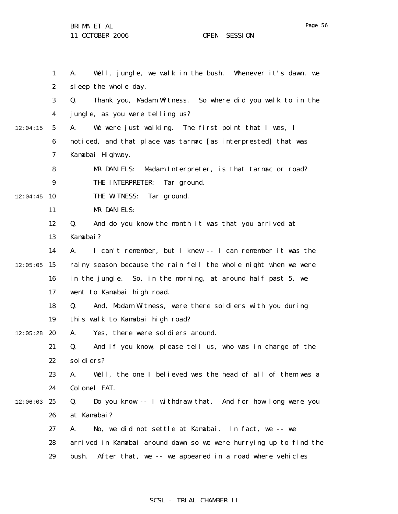1 2 3 4 5 6 7 8 9  $12:04:45$  10 11 12 13 14  $12:05:05$  15 16 17 18 19  $12:05:28$  20 21 22 23 24  $12:06:03$  25 26 27 28 29 12:04:15 A. Well, jungle, we walk in the bush. Whenever it's dawn, we sleep the whole day. Q. Thank you, Madam Witness. So where did you walk to in the jungle, as you were telling us? A. We were just walking. The first point that I was, I noticed, and that place was tarmac [as interprested] that was Kamabai Highway. MR DANIELS: Madam Interpreter, is that tarmac or road? THE INTERPRETER: Tar ground. THE WITNESS: Tar ground. MR DANIELS: Q. And do you know the month it was that you arrived at Kamabai? A. I can't remember, but I knew -- I can remember it was the rainy season because the rain fell the whole night when we were in the jungle. So, in the morning, at around half past 5, we went to Kamabai high road. Q. And, Madam Witness, were there soldiers with you during this walk to Kamabai high road? A. Yes, there were soldiers around. Q. And if you know, please tell us, who was in charge of the soldiers? A. Well, the one I believed was the head of all of them was a Colonel FAT. Q. Do you know -- I withdraw that. And for how long were you at Kamabai? A. No, we did not settle at Kamabai. In fact, we -- we arrived in Kamabai around dawn so we were hurrying up to find the bush. After that, we -- we appeared in a road where vehicles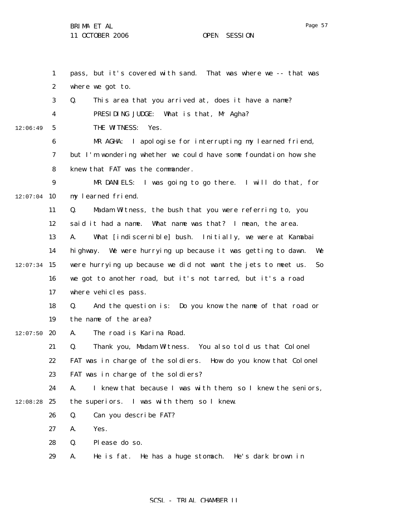1 2 3 4 5 6 7 8 9  $12:07:04$  10 11 12 13 14  $12:07:34$  15 16 17 18 19  $12:07:50$  20 21 22 23 24  $12:08:28$  25 26 27 28 29 12:06:49 pass, but it's covered with sand. That was where we -- that was where we got to. Q. This area that you arrived at, does it have a name? PRESIDING JUDGE: What is that, Mr Agha? THE WITNESS: Yes. MR AGHA: I apologise for interrupting my learned friend, but I'm wondering whether we could have some foundation how she knew that FAT was the commander. MR DANIELS: I was going to go there. I will do that, for my learned friend. Q. Madam Witness, the bush that you were referring to, you said it had a name. What name was that? I mean, the area. A. What [indiscernible] bush. Initially, we were at Kamabai highway. We were hurrying up because it was getting to dawn. We were hurrying up because we did not want the jets to meet us. So we got to another road, but it's not tarred, but it's a road where vehicles pass. Q. And the question is: Do you know the name of that road or the name of the area? A. The road is Karina Road. Q. Thank you, Madam Witness. You also told us that Colonel FAT was in charge of the soldiers. How do you know that Colonel FAT was in charge of the soldiers? A. I knew that because I was with them, so I knew the seniors, the superiors. I was with them, so I knew. Q. Can you describe FAT? A. Yes. Q. Please do so. A. He is fat. He has a huge stomach. He's dark brown in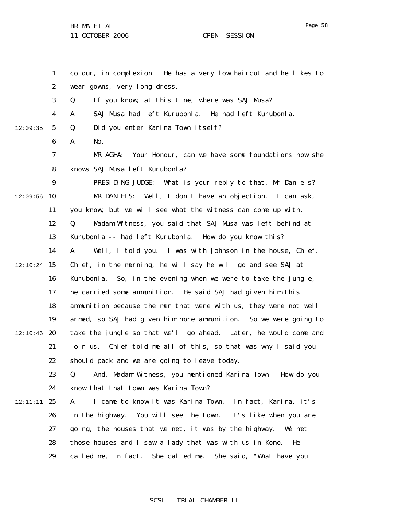1

2

3

4

5

6

7

8

9

11

12

13

14

16

17

18

19

21

22

23

24

26

 $12:09:56$  10

12:09:35

 $12:10:24$  15

 $12:10:46$  20

12:11:11 25

colour, in complexion. He has a very low haircut and he likes to wear gowns, very long dress. Q. If you know, at this time, where was SAJ Musa? A. SAJ Musa had left Kurubonla. He had left Kurubonla. Q. Did you enter Karina Town itself? A. No. MR AGHA: Your Honour, can we have some foundations how she knows SAJ Musa left Kurubonla? PRESIDING JUDGE: What is your reply to that, Mr Daniels? MR DANIELS: Well, I don't have an objection. I can ask, you know, but we will see what the witness can come up with. Q. Madam Witness, you said that SAJ Musa was left behind at Kurubonla -- had left Kurubonla. How do you know this? A. Well, I told you. I was with Johnson in the house, Chief. Chief, in the morning, he will say he will go and see SAJ at Kurubonla. So, in the evening when we were to take the jungle, he carried some ammunition. He said SAJ had given him this ammunition because the men that were with us, they were not well armed, so SAJ had given him more ammunition. So we were going to take the jungle so that we'll go ahead. Later, he would come and join us. Chief told me all of this, so that was why I said you should pack and we are going to leave today. Q. And, Madam Witness, you mentioned Karina Town. How do you know that that town was Karina Town? A. I came to know it was Karina Town. In fact, Karina, it's in the highway. You will see the town. It's like when you are

- 27 going, the houses that we met, it was by the highway. We met
- 28 those houses and I saw a lady that was with us in Kono. He
- 29 called me, in fact. She called me. She said, "What have you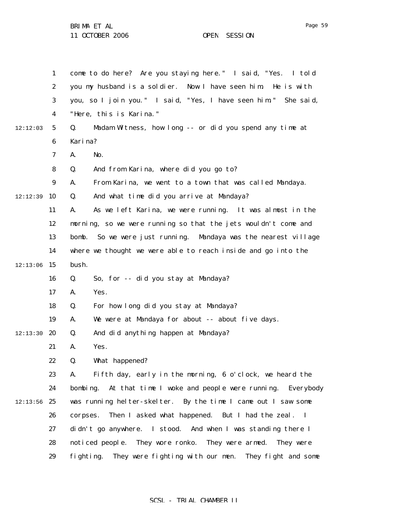11 OCTOBER 2006 OPEN SESSION

1 2 3 4 5 6 7 8 9 12:12:39 10 11 12 13 14  $12:13:06$  15 16 17 18 19 12:13:30 **20** 21 22 23 24  $12:13:56$  25 26 27 28 29 12:12:03 come to do here? Are you staying here." I said, "Yes. I told you my husband is a soldier. Now I have seen him. He is with you, so I join you." I said, "Yes, I have seen him." She said, "Here, this is Karina." Q. Madam Witness, how long -- or did you spend any time at Karina? A. No. Q. And from Karina, where did you go to? A. From Karina, we went to a town that was called Mandaya. Q. And what time did you arrive at Mandaya? A. As we left Karina, we were running. It was almost in the morning, so we were running so that the jets wouldn't come and bomb. So we were just running. Mandaya was the nearest village where we thought we were able to reach inside and go into the bush. Q. So, for -- did you stay at Mandaya? A. Yes. Q. For how long did you stay at Mandaya? A. We were at Mandaya for about -- about five days. Q. And did anything happen at Mandaya? A. Yes. Q. What happened? A. Fifth day, early in the morning, 6 o'clock, we heard the bombing. At that time I woke and people were running. Everybody was running helter-skelter. By the time I came out I saw some corpses. Then I asked what happened. But I had the zeal. I didn't go anywhere. I stood. And when I was standing there I noticed people. They wore ronko. They were armed. They were fighting. They were fighting with our men. They fight and some

#### SCSL - TRIAL CHAMBER II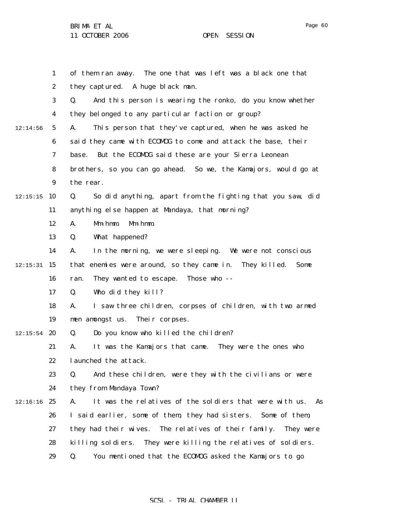1 2 3 4 5 6 7 8 9  $12:15:15$  10 11 12 13 14  $12:15:31$  15 16 17 18 19  $12:15:54$  20 21 22 23 24  $12:16:16$  25 26 27 28 29 12:14:56 of them ran away. The one that was left was a black one that they captured. A huge black man. Q. And this person is wearing the ronko, do you know whether they belonged to any particular faction or group? A. This person that they've captured, when he was asked he said they came with ECOMOG to come and attack the base, their base. But the ECOMOG said these are your Sierra Leonean brothers, so you can go ahead. So we, the Kamajors, would go at the rear. Q. So did anything, apart from the fighting that you saw, did anything else happen at Mandaya, that morning? A. Mm-hmm. Mm-hmm. Q. What happened? A. In the morning, we were sleeping. We were not conscious that enemies were around, so they came in. They killed. Some ran. They wanted to escape. Those who -- Q. Who did they kill? A. I saw three children, corpses of children, with two armed men amongst us. Their corpses. Q. Do you know who killed the children? A. It was the Kamajors that came. They were the ones who launched the attack. Q. And these children, were they with the civilians or were they from Mandaya Town? A. It was the relatives of the soldiers that were with us. As I said earlier, some of them, they had sisters. Some of them, they had their wives. The relatives of their family. They were killing soldiers. They were killing the relatives of soldiers. Q. You mentioned that the ECOMOG asked the Kamajors to go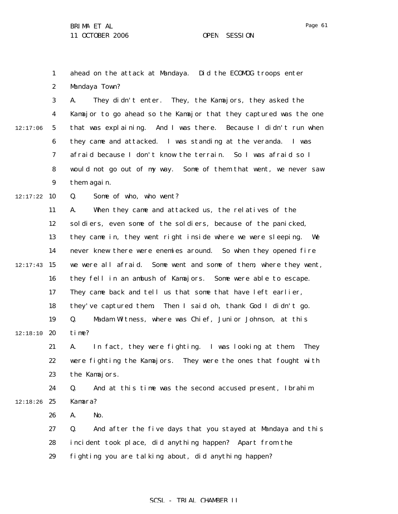1 2 ahead on the attack at Mandaya. Did the ECOMOG troops enter Mandaya Town?

3 4 5 6 7 8 9 12:17:06 A. They didn't enter. They, the Kamajors, they asked the Kamajor to go ahead so the Kamajor that they captured was the one that was explaining. And I was there. Because I didn't run when they came and attacked. I was standing at the veranda. I was afraid because I don't know the terrain. So I was afraid so I would not go out of my way. Some of them that went, we never saw them again.

 $12:17:22$  10 Q. Some of who, who went?

11 12 13 14  $12:17:43$  15 16 17 18 19  $12:18:10$  20 A. When they came and attacked us, the relatives of the soldiers, even some of the soldiers, because of the panicked, they came in, they went right inside where we were sleeping. We never knew there were enemies around. So when they opened fire we were all afraid. Some went and some of them, where they went, they fell in an ambush of Kamajors. Some were able to escape. They came back and tell us that some that have left earlier, they've captured them. Then I said oh, thank God I didn't go. Q. Madam Witness, where was Chief, Junior Johnson, at this time?

21 22 23 A. In fact, they were fighting. I was looking at them. They were fighting the Kamajors. They were the ones that fought with the Kamajors.

24  $12:18:26$  25 Q. And at this time was the second accused present, Ibrahim Kamara?

> 26 A. No.

27 28 29 Q. And after the five days that you stayed at Mandaya and this incident took place, did anything happen? Apart from the fighting you are talking about, did anything happen?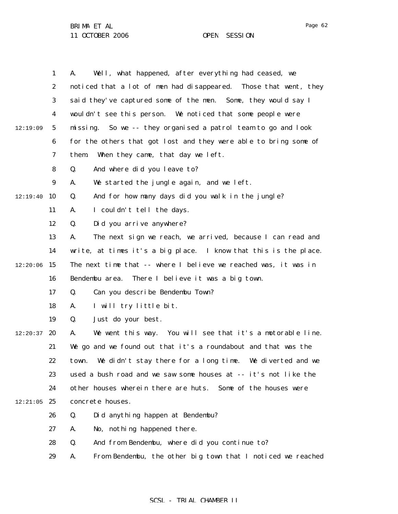|          | $\mathbf{1}$     | Well, what happened, after everything had ceased, we<br>A.        |
|----------|------------------|-------------------------------------------------------------------|
|          | $\boldsymbol{2}$ | noticed that a lot of men had disappeared. Those that went, they  |
|          | 3                | said they've captured some of the men. Some, they would say I     |
|          | 4                | wouldn't see this person. We noticed that some people were        |
| 12:19:09 | $\mathbf 5$      | missing. So we -- they organised a patrol team to go and look     |
|          | 6                | for the others that got lost and they were able to bring some of  |
|          | 7                | When they came, that day we left.<br>them.                        |
|          | 8                | Q.<br>And where did you leave to?                                 |
|          | $\boldsymbol{9}$ | We started the jungle again, and we left.<br>A.                   |
| 12:19:40 | 10               | And for how many days did you walk in the jungle?<br>Q.           |
|          | 11               | I couldn't tell the days.<br>A.                                   |
|          | 12               | Q.<br>Did you arrive anywhere?                                    |
|          | 13               | The next sign we reach, we arrived, because I can read and<br>A.  |
|          | 14               | write, at times it's a big place. I know that this is the place.  |
| 12:20:06 | 15               | The next time that -- where I believe we reached was, it was in   |
|          | 16               | Bendembu area. There I believe it was a big town.                 |
|          | 17               | Q.<br>Can you describe Bendembu Town?                             |
|          | 18               | I will try little bit.<br>A.                                      |
|          | 19               | Just do your best.<br>Q.                                          |
| 12:20:37 | 20               | We went this way. You will see that it's a motorable line.<br>A.  |
|          | 21               | We go and we found out that it's a roundabout and that was the    |
|          | 22               | We didn't stay there for a long time. We diverted and we<br>town. |
|          | 23               | used a bush road and we saw some houses at -- it's not like the   |
|          | 24               | other houses wherein there are huts.<br>Some of the houses were   |
| 12:21:05 | 25               | concrete houses.                                                  |
|          | 26               | Did anything happen at Bendembu?<br>Q.                            |
|          | 27               | No, nothing happened there.<br>A.                                 |
|          | 28               | And from Bendembu, where did you continue to?<br>Q.               |
|          | 29               | From Bendembu, the other big town that I noticed we reached<br>A. |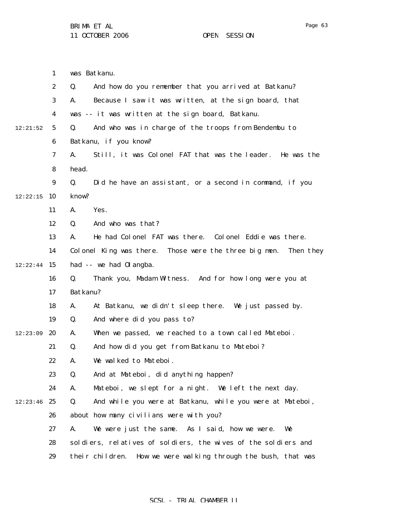1 2 3 4 5 6 7 8 9  $12:22:15$  10 11 12 13 14  $12:22:44$  15 16 17 18 19 12:23:09 20 21 22 23 24  $12:23:46$  25 26 27 28 29 12:21:52 was Batkanu. Q. And how do you remember that you arrived at Batkanu? A. Because I saw it was written, at the sign board, that was -- it was written at the sign board, Batkanu. Q. And who was in charge of the troops from Bendembu to Batkanu, if you know? A. Still, it was Colonel FAT that was the leader. He was the head. Q. Did he have an assistant, or a second in command, if you know? A. Yes. Q. And who was that? A. He had Colonel FAT was there. Colonel Eddie was there. Colonel King was there. Those were the three big men. Then they had -- we had Olangba. Q. Thank you, Madam Witness. And for how long were you at Batkanu? A. At Batkanu, we didn't sleep there. We just passed by. Q. And where did you pass to? A. When we passed, we reached to a town called Mateboi. Q. And how did you get from Batkanu to Mateboi? A. We walked to Mateboi. Q. And at Mateboi, did anything happen? A. Mateboi, we slept for a night. We left the next day. Q. And while you were at Batkanu, while you were at Mateboi, about how many civilians were with you? A. We were just the same. As I said, how we were. We soldiers, relatives of soldiers, the wives of the soldiers and their children. How we were walking through the bush, that was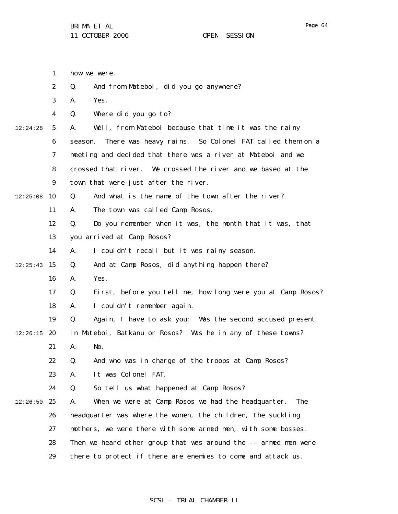|          | $\mathbf{1}$            | how we were.                                                      |
|----------|-------------------------|-------------------------------------------------------------------|
|          | $\boldsymbol{2}$        | And from Mateboi, did you go anywhere?<br>Q.                      |
|          | 3                       | Yes.<br>A.                                                        |
|          | $\overline{\mathbf{4}}$ | Where did you go to?<br>Q.                                        |
| 12:24:28 | $5\overline{)}$         | Well, from Mateboi because that time it was the rainy<br>A.       |
|          | 6                       | There was heavy rains. So Colonel FAT called them on a<br>season. |
|          | $\boldsymbol{7}$        | meeting and decided that there was a river at Mateboi and we      |
|          | 8                       | crossed that river. We crossed the river and we based at the      |
|          | 9                       | town that were just after the river.                              |
| 12:25:08 | 10                      | And what is the name of the town after the river?<br>Q.           |
|          | 11                      | The town was called Camp Rosos.<br>A.                             |
|          | 12                      | Do you remember when it was, the month that it was, that<br>Q.    |
|          | 13                      | you arrived at Camp Rosos?                                        |
|          | 14                      | I couldn't recall but it was rainy season.<br>A.                  |
| 12:25:43 | 15                      | And at Camp Rosos, did anything happen there?<br>Q.               |
|          | 16                      | Yes.<br>A.                                                        |
|          | 17                      | First, before you tell me, how long were you at Camp Rosos?<br>Q. |
|          | 18                      | I couldn't remember again.<br>A.                                  |
|          | 19                      | Again, I have to ask you: Was the second accused present<br>Q.    |
| 12:26:15 | 20                      | in Mateboi, Batkanu or Rosos? Was he in any of these towns?       |
|          | 21                      | A.<br>No.                                                         |
|          | 22                      | And who was in charge of the troops at Camp Rosos?<br>Q.          |
|          | 23                      | It was Colonel FAT.<br>A.                                         |
|          | 24                      | So tell us what happened at Camp Rosos?<br>Q.                     |
| 12:26:50 | 25                      | When we were at Camp Rosos we had the headquarter.<br>The<br>A.   |
|          | 26                      | headquarter was where the women, the children, the suckling       |
|          | 27                      | mothers, we were there with some armed men, with some bosses.     |
|          | 28                      | Then we heard other group that was around the -- armed men were   |
|          | 29                      | there to protect if there are enemies to come and attack us.      |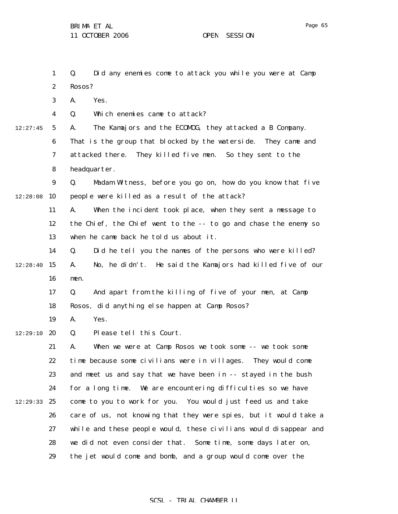1 2 3 4 5 6 7 8 9  $12:28:08$  10 11 12 13 14  $12:28:40$  15 16 17 18 19 12:29:10 **20** 21 22 23 24 12:29:33 25 26 27 28 29 12:27:45 Q. Did any enemies come to attack you while you were at Camp Rosos? A. Yes. Q. Which enemies came to attack? A. The Kamajors and the ECOMOG, they attacked a B Company. That is the group that blocked by the waterside. They came and attacked there. They killed five men. So they sent to the headquarter. Q. Madam Witness, before you go on, how do you know that five people were killed as a result of the attack? A. When the incident took place, when they sent a message to the Chief, the Chief went to the -- to go and chase the enemy so when he came back he told us about it. Q. Did he tell you the names of the persons who were killed? A. No, he didn't. He said the Kamajors had killed five of our men. Q. And apart from the killing of five of your men, at Camp Rosos, did anything else happen at Camp Rosos? A. Yes. Q. Please tell this Court. A. When we were at Camp Rosos we took some -- we took some time because some civilians were in villages. They would come and meet us and say that we have been in -- stayed in the bush for a long time. We are encountering difficulties so we have come to you to work for you. You would just feed us and take care of us, not knowing that they were spies, but it would take a while and these people would, these civilians would disappear and we did not even consider that. Some time, some days later on, the jet would come and bomb, and a group would come over the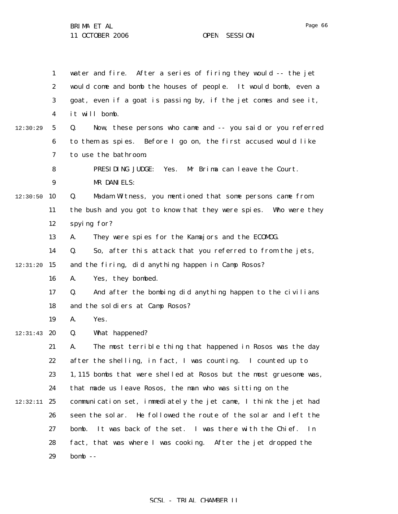1 2 3 4 5 6 7 8 9  $12:30:50$  10 11 12 13 14  $12:31:20$  15 16 17 18 19  $12:31:43$  20 21 22 23 24 12:32:11 25 26 27 28 29 12:30:29 water and fire. After a series of firing they would -- the jet would come and bomb the houses of people. It would bomb, even a goat, even if a goat is passing by, if the jet comes and see it, it will bomb. Q. Now, these persons who came and -- you said or you referred to them as spies. Before I go on, the first accused would like to use the bathroom. PRESIDING JUDGE: Yes. Mr Brima can leave the Court. MR DANIELS: Q. Madam Witness, you mentioned that some persons came from the bush and you got to know that they were spies. Who were they spying for? A. They were spies for the Kamajors and the ECOMOG. Q. So, after this attack that you referred to from the jets, and the firing, did anything happen in Camp Rosos? A. Yes, they bombed. Q. And after the bombing did anything happen to the civilians and the soldiers at Camp Rosos? A. Yes. Q. What happened? A. The most terrible thing that happened in Rosos was the day after the shelling, in fact, I was counting. I counted up to 1,115 bombs that were shelled at Rosos but the most gruesome was, that made us leave Rosos, the man who was sitting on the communication set, immediately the jet came, I think the jet had seen the solar. He followed the route of the solar and left the bomb. It was back of the set. I was there with the Chief. In fact, that was where I was cooking. After the jet dropped the  $homb -$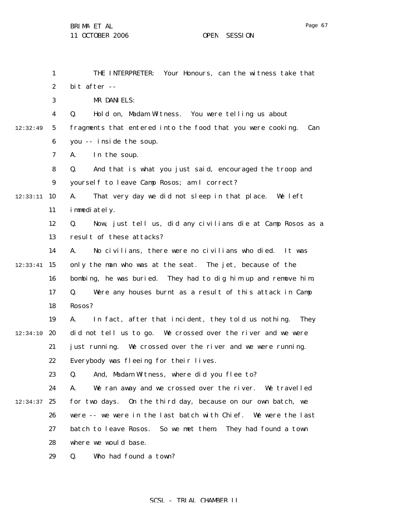11 OCTOBER 2006 OPEN SESSION

|          | $\mathbf{1}$     | THE INTERPRETER:<br>Your Honours, can the witness take that              |
|----------|------------------|--------------------------------------------------------------------------|
|          | $\boldsymbol{2}$ | bit after --                                                             |
|          | 3                | MR DANIELS:                                                              |
|          | 4                | Hold on, Madam Witness. You were telling us about<br>Q.                  |
| 12:32:49 | 5                | fragments that entered into the food that you were cooking.<br>Can       |
|          | 6                | you -- inside the soup.                                                  |
|          | 7                | In the soup.<br>A.                                                       |
|          | 8                | And that is what you just said, encouraged the troop and<br>Q.           |
|          | 9                | yourself to leave Camp Rosos; am I correct?                              |
| 12:33:11 | 10               | A.<br>That very day we did not sleep in that place. We left              |
|          | 11               | immediately.                                                             |
|          | 12               | Now, just tell us, did any civilians die at Camp Rosos as a<br>Q.        |
|          | 13               | result of these attacks?                                                 |
|          | 14               | A.<br>No civilians, there were no civilians who died. It was             |
| 12:33:41 | 15               | only the man who was at the seat. The jet, because of the                |
|          | 16               | bombing, he was buried. They had to dig him up and remove him.           |
|          | 17               | Were any houses burnt as a result of this attack in Camp<br>Q.           |
|          | 18               | Rosos?                                                                   |
|          | 19               | A.<br>In fact, after that incident, they told us nothing.<br><b>They</b> |
| 12:34:10 | 20               | did not tell us to go. We crossed over the river and we were             |
|          | 21               | just running. We crossed over the river and we were running.             |
|          | 22               | Everybody was fleeing for their lives.                                   |
|          | 23               | And, Madam Witness, where did you flee to?<br>Q.                         |
|          | 24               | We ran away and we crossed over the river. We travelled<br>A.            |
| 12:34:37 | 25               | for two days. On the third day, because on our own batch, we             |
|          | 26               | were -- we were in the last batch with Chief. We were the last           |
|          | 27               | batch to leave Rosos.<br>So we met them.<br>They had found a town        |
|          | 28               | where we would base.                                                     |
|          | 29               | Who had found a town?<br>Q.                                              |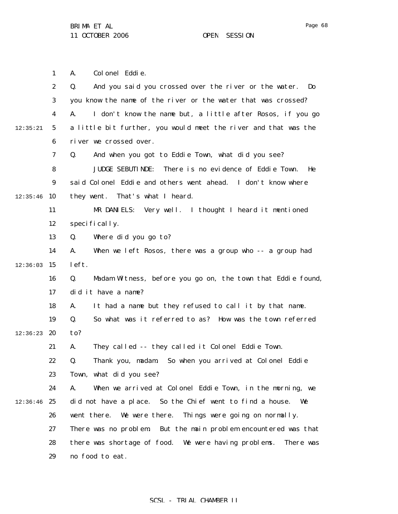1 A. Colonel Eddie.

|          | $\boldsymbol{2}$ | Q.<br>And you said you crossed over the river or the water.<br>$\mathbf{Do}$ |
|----------|------------------|------------------------------------------------------------------------------|
|          | 3                | you know the name of the river or the water that was crossed?                |
|          | 4                | A.<br>I don't know the name but, a little after Rosos, if you go             |
| 12:35:21 | $\mathbf{5}$     | a little bit further, you would meet the river and that was the              |
|          | 6                | river we crossed over.                                                       |
|          | 7                | And when you got to Eddie Town, what did you see?<br>Q.                      |
|          | 8                | There is no evidence of Eddie Town.<br><b>JUDGE SEBUTINDE:</b><br>He         |
|          | $\boldsymbol{9}$ | said Colonel Eddie and others went ahead. I don't know where                 |
| 12:35:46 | 10               | That's what I heard.<br>they went.                                           |
|          | 11               | MR DANIELS: Very well. I thought I heard it mentioned                        |
|          | 12               | specifically.                                                                |
|          | 13               | Q.<br>Where did you go to?                                                   |
|          | 14               | When we left Rosos, there was a group who -- a group had<br>A.               |
| 12:36:03 | 15               | left.                                                                        |
|          | 16               | Madam Witness, before you go on, the town that Eddie found,<br>Q.            |
|          | 17               | did it have a name?                                                          |
|          | 18               | It had a name but they refused to call it by that name.<br>A.                |
|          | 19               | So what was it referred to as? How was the town referred<br>Q.               |
| 12:36:23 | 20               | to?                                                                          |
|          | 21               | They called -- they called it Colonel Eddie Town.<br>A.                      |
|          | 22               | Thank you, madam. So when you arrived at Colonel Eddie<br>Q.                 |
|          | 23               | Town, what did you see?                                                      |
|          | 24               | A.<br>When we arrived at Colonel Eddie Town, in the morning, we              |
| 12:36:46 | 25               | did not have a place. So the Chief went to find a house.<br>We               |
|          | 26               | Things were going on normally.<br>We were there.<br>went there.              |
|          | 27               | There was no problem But the main problem encountered was that               |
|          | 28               | there was shortage of food. We were having problems.<br>There was            |
|          | 29               | no food to eat.                                                              |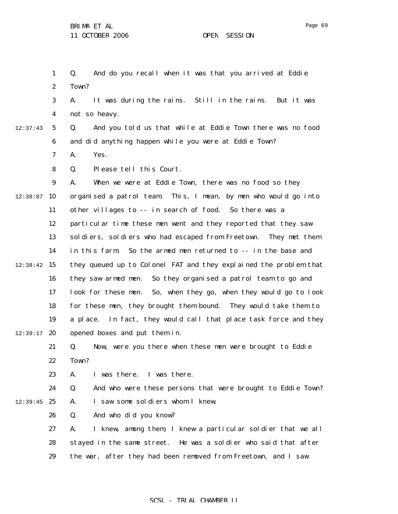1 2 Q. And do you recall when it was that you arrived at Eddie Town?

3 4 A. It was during the rains. Still in the rains. But it was not so heavy.

12:37:43

5

6

Q. And you told us that while at Eddie Town there was no food and did anything happen while you were at Eddie Town?

7 A. Yes.

8 Q. Please tell this Court.

9  $12:38:07$  10 11 12 13 14  $12:38:42$  15 16 17 18 19  $12:39:17$  20 A. When we were at Eddie Town, there was no food so they organised a patrol team. This, I mean, by men who would go into other villages to -- in search of food. So there was a particular time these men went and they reported that they saw soldiers, soldiers who had escaped from Freetown. They met them in this farm. So the armed men returned to -- in the base and they queued up to Colonel FAT and they explained the problem that they saw armed men. So they organised a patrol team to go and look for these men. So, when they go, when they would go to look for these men, they brought them bound. They would take them to a place. In fact, they would call that place task force and they opened boxes and put them in.

21 22 Q. Now, were you there when these men were brought to Eddie Town?

23 A. I was there. I was there.

24  $12:39:45$  25 Q. And who were these persons that were brought to Eddie Town? A. I saw some soldiers whom I knew.

> 26 Q. And who did you know?

27 28 29 A. I knew, among them, I knew a particular soldier that we all stayed in the same street. He was a soldier who said that after the war, after they had been removed from Freetown, and I saw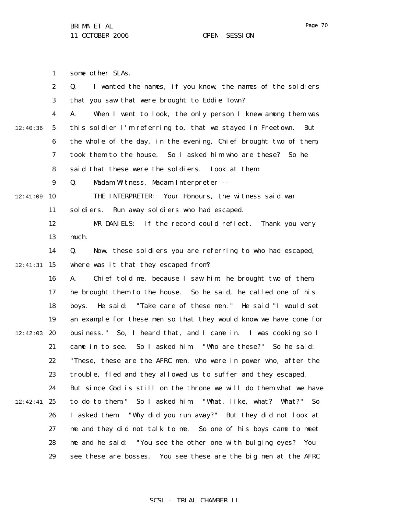1 some other SLAs.

|          | $\boldsymbol{2}$ | I wanted the names, if you know, the names of the soldiers<br>Q.   |
|----------|------------------|--------------------------------------------------------------------|
|          | 3                | that you saw that were brought to Eddie Town?                      |
|          | 4                | When I went to look, the only person I knew among them was<br>A.   |
| 12:40:36 | $\mathbf 5$      | this soldier I'm referring to, that we stayed in Freetown.<br>But  |
|          | 6                | the whole of the day, in the evening, Chief brought two of them,   |
|          | 7                | took them to the house.<br>So I asked him who are these? So he     |
|          | 8                | said that these were the soldiers. Look at them.                   |
|          | $\boldsymbol{9}$ | Madam Witness, Madam Interpreter --<br>Q.                          |
| 12:41:09 | 10               | THE INTERPRETER:<br>Your Honours, the witness said war             |
|          | 11               | Run away soldiers who had escaped.<br>sol di ers.                  |
|          | 12               | MR DANIELS: If the record could reflect. Thank you very            |
|          | 13               | much.                                                              |
|          | 14               | Now, these soldiers you are referring to who had escaped,<br>Q.    |
| 12:41:31 | 15               | where was it that they escaped from?                               |
|          | 16               | Chief told me, because I saw him, he brought two of them,<br>A.    |
|          | 17               | he brought them to the house. So he said, he called one of his     |
|          | 18               | He said: "Take care of these men." He said "I would set<br>boys.   |
|          | 19               | an example for these men so that they would know we have come for  |
| 12:42:03 | 20               | business." So, I heard that, and I came in. I was cooking so I     |
|          | 21               | came in to see. So I asked him: "Who are these?" So he said:       |
|          | 22               | "These, these are the AFRC men, who were in power who, after the   |
|          | 23               | trouble, fled and they allowed us to suffer and they escaped.      |
|          | 24               | But since God is still on the throne we will do them what we have  |
| 12:42:41 | 25               | to do to them." So I asked him:<br>"What, like, what? What?"<br>So |
|          | 26               | "Why did you run away?" But they did not look at<br>I asked them:  |
|          | 27               | me and they did not talk to me. So one of his boys came to meet    |
|          | 28               | me and he said: "You see the other one with bulging eyes? You      |
|          | 29               | see these are bosses. You see these are the big men at the AFRC    |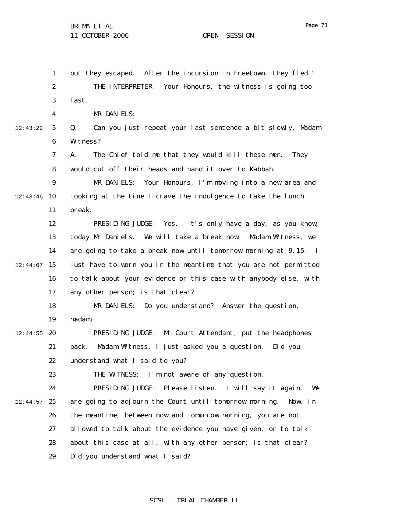1 2 3 4 5 6 7 8 9  $12:43:46$  10 11 12 13 14  $12:44:07$  15 16 17 18 19  $12:44:55$  20 21 22 23 24  $12:44:57$  25 26 27 28 29 12:43:22 but they escaped. After the incursion in Freetown, they fled." THE INTERPRETER: Your Honours, the witness is going too fast. MR DANIELS: Q. Can you just repeat your last sentence a bit slowly, Madam Witness? A. The Chief told me that they would kill these men. They would cut off their heads and hand it over to Kabbah. MR DANIELS: Your Honours, I'm moving into a new area and looking at the time I crave the indulgence to take the lunch break. PRESIDING JUDGE: Yes. It's only have a day, as you know, today Mr Daniels. We will take a break now. Madam Witness, we are going to take a break now until tomorrow morning at 9.15. I just have to warn you in the meantime that you are not permitted to talk about your evidence or this case with anybody else, with any other person; is that clear? MR DANIELS: Do you understand? Answer the question, madam. PRESIDING JUDGE: Mr Court Attendant, put the headphones back. Madam Witness, I just asked you a question. Did you understand what I said to you? THE WITNESS: I'm not aware of any question. PRESIDING JUDGE: Please listen. I will say it again. We are going to adjourn the Court until tomorrow morning. Now, in the meantime, between now and tomorrow morning, you are not allowed to talk about the evidence you have given, or to talk about this case at all, with any other person; is that clear? Did you understand what I said?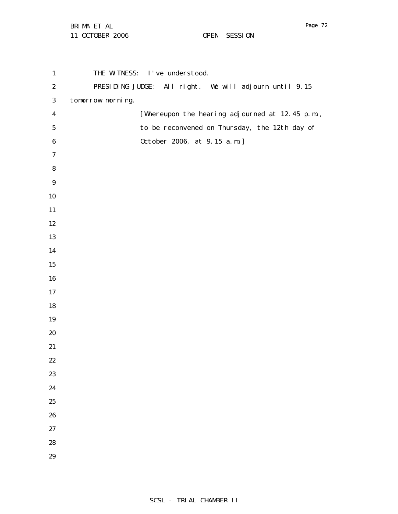| $\mathbf{1}$     | THE WITNESS: I've understood.                          |
|------------------|--------------------------------------------------------|
| $\boldsymbol{2}$ | PRESIDING JUDGE: All right. We will adjourn until 9.15 |
| $\bf{3}$         | tomorrow morning.                                      |
| $\boldsymbol{4}$ | [Whereupon the hearing adjourned at 12.45 p.m.,        |
| ${\bf 5}$        | to be reconvened on Thursday, the 12th day of          |
| $\bf 6$          | 0ctober 2006, at 9.15 a.m.]                            |
| $\boldsymbol{7}$ |                                                        |
| ${\bf 8}$        |                                                        |
| $\boldsymbol{9}$ |                                                        |
| $10\,$           |                                                        |
| 11               |                                                        |
| 12               |                                                        |
| 13               |                                                        |
| 14               |                                                        |
| 15               |                                                        |
| ${\bf 16}$       |                                                        |
| 17               |                                                        |
| 18               |                                                        |
| 19               |                                                        |
| 20               |                                                        |
| 21               |                                                        |
| $22\,$           |                                                        |
| 23               |                                                        |
| 24               |                                                        |
| 25               |                                                        |
| 26               |                                                        |
| 27               |                                                        |
| 28               |                                                        |
| 29               |                                                        |